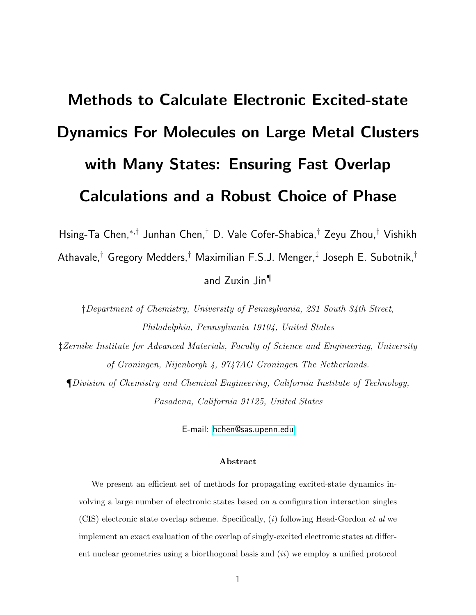# Methods to Calculate Electronic Excited-state Dynamics For Molecules on Large Metal Clusters with Many States: Ensuring Fast Overlap Calculations and a Robust Choice of Phase

Hsing-Ta Chen,<sup>∗</sup>,† Junhan Chen,† D. Vale Cofer-Shabica,† Zeyu Zhou,† Vishikh

Athavale, $^\dagger$  Gregory Medders, $^\dagger$  Maximilian F.S.J. Menger, $^\ddagger$  Joseph E. Subotnik, $^\dagger$ 

# and Zuxin Jin¶

†Department of Chemistry, University of Pennsylvania, 231 South 34th Street, Philadelphia, Pennsylvania 19104, United States

‡Zernike Institute for Advanced Materials, Faculty of Science and Engineering, University of Groningen, Nijenborgh 4, 9747AG Groningen The Netherlands.

¶Division of Chemistry and Chemical Engineering, California Institute of Technology, Pasadena, California 91125, United States

E-mail:<hchen@sas.upenn.edu>

#### Abstract

We present an efficient set of methods for propagating excited-state dynamics involving a large number of electronic states based on a configuration interaction singles  $(CIS)$  electronic state overlap scheme. Specifically, (i) following Head-Gordon *et al* we implement an exact evaluation of the overlap of singly-excited electronic states at different nuclear geometries using a biorthogonal basis and  $(ii)$  we employ a unified protocol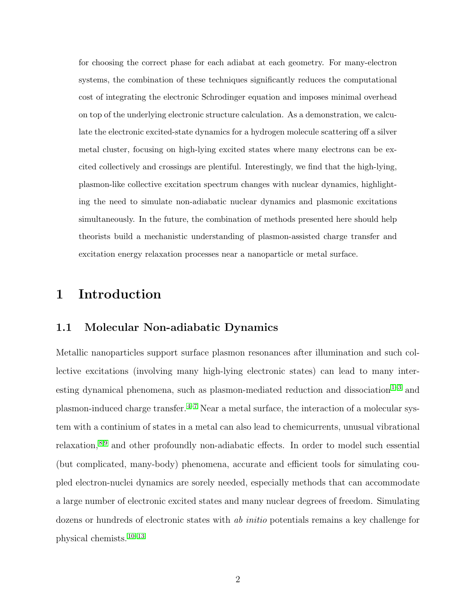for choosing the correct phase for each adiabat at each geometry. For many-electron systems, the combination of these techniques significantly reduces the computational cost of integrating the electronic Schrodinger equation and imposes minimal overhead on top of the underlying electronic structure calculation. As a demonstration, we calculate the electronic excited-state dynamics for a hydrogen molecule scattering off a silver metal cluster, focusing on high-lying excited states where many electrons can be excited collectively and crossings are plentiful. Interestingly, we find that the high-lying, plasmon-like collective excitation spectrum changes with nuclear dynamics, highlighting the need to simulate non-adiabatic nuclear dynamics and plasmonic excitations simultaneously. In the future, the combination of methods presented here should help theorists build a mechanistic understanding of plasmon-assisted charge transfer and excitation energy relaxation processes near a nanoparticle or metal surface.

# 1 Introduction

#### 1.1 Molecular Non-adiabatic Dynamics

Metallic nanoparticles support surface plasmon resonances after illumination and such collective excitations (involving many high-lying electronic states) can lead to many inter-esting dynamical phenomena, such as plasmon-mediated reduction and dissociation<sup>1-[3](#page-39-1)</sup> and plasmon-induced charge transfer.  $4-7$  $4-7$  Near a metal surface, the interaction of a molecular system with a continium of states in a metal can also lead to chemicurrents, unusual vibrational relaxation,[8,](#page-40-1)[9](#page-40-2) and other profoundly non-adiabatic effects. In order to model such essential (but complicated, many-body) phenomena, accurate and efficient tools for simulating coupled electron-nuclei dynamics are sorely needed, especially methods that can accommodate a large number of electronic excited states and many nuclear degrees of freedom. Simulating dozens or hundreds of electronic states with *ab initio* potentials remains a key challenge for physical chemists.[10](#page-40-3)[–13](#page-40-4)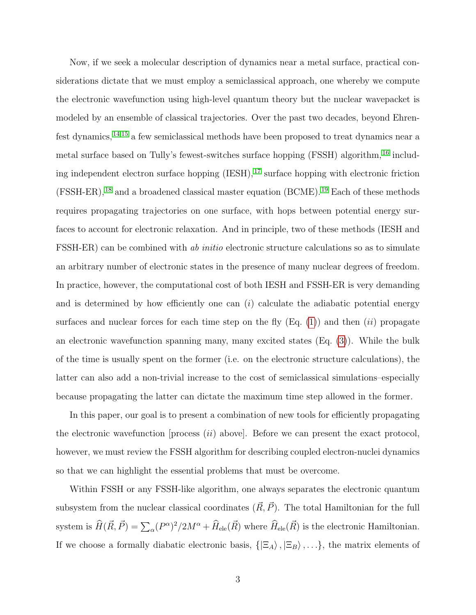Now, if we seek a molecular description of dynamics near a metal surface, practical considerations dictate that we must employ a semiclassical approach, one whereby we compute the electronic wavefunction using high-level quantum theory but the nuclear wavepacket is modeled by an ensemble of classical trajectories. Over the past two decades, beyond Ehrenfest dynamics,[14](#page-41-0)[,15](#page-41-1) a few semiclassical methods have been proposed to treat dynamics near a metal surface based on Tully's fewest-switches surface hopping (FSSH) algorithm, [16](#page-41-2) including independent electron surface hopping  $(IESH),$ <sup>[17](#page-41-3)</sup> surface hopping with electronic friction  $(FSSH-ER),<sup>18</sup>$  $(FSSH-ER),<sup>18</sup>$  $(FSSH-ER),<sup>18</sup>$  and a broadened classical master equation (BCME).<sup>[19](#page-41-5)</sup> Each of these methods requires propagating trajectories on one surface, with hops between potential energy surfaces to account for electronic relaxation. And in principle, two of these methods (IESH and FSSH-ER) can be combined with ab initio electronic structure calculations so as to simulate an arbitrary number of electronic states in the presence of many nuclear degrees of freedom. In practice, however, the computational cost of both IESH and FSSH-ER is very demanding and is determined by how efficiently one can  $(i)$  calculate the adiabatic potential energy surfaces and nuclear forces for each time step on the fly  $(Eq. (1))$  $(Eq. (1))$  $(Eq. (1))$  and then  $(ii)$  propagate an electronic wavefunction spanning many, many excited states (Eq. [\(3\)](#page-3-1)). While the bulk of the time is usually spent on the former (i.e. on the electronic structure calculations), the latter can also add a non-trivial increase to the cost of semiclassical simulations–especially because propagating the latter can dictate the maximum time step allowed in the former.

In this paper, our goal is to present a combination of new tools for efficiently propagating the electronic wavefunction [process  $(ii)$  above]. Before we can present the exact protocol, however, we must review the FSSH algorithm for describing coupled electron-nuclei dynamics so that we can highlight the essential problems that must be overcome.

Within FSSH or any FSSH-like algorithm, one always separates the electronic quantum subsystem from the nuclear classical coordinates  $(\vec{R}, \vec{P})$ . The total Hamiltonian for the full system is  $\widehat{H}(\vec{R}, \vec{P}) = \sum_{\alpha} (P^{\alpha})^2 / 2M^{\alpha} + \widehat{H}_{\text{ele}}(\vec{R})$  where  $\widehat{H}_{\text{ele}}(\vec{R})$  is the electronic Hamiltonian. If we choose a formally diabatic electronic basis,  $\{|\Xi_A\rangle, |\Xi_B\rangle, \ldots\}$ , the matrix elements of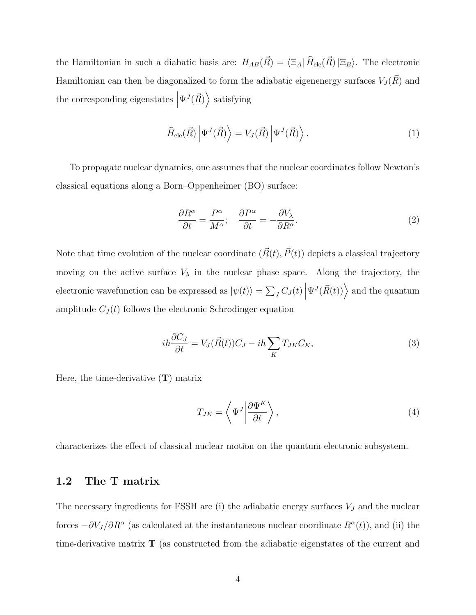the Hamiltonian in such a diabatic basis are:  $H_{AB}(\vec{R}) = \langle \Xi_A | \hat{H}_{\text{ele}}(\vec{R}) | \Xi_B \rangle$ . The electronic Hamiltonian can then be diagonalized to form the adiabatic eigenenergy surfaces  $V_J(\vec{R})$  and the corresponding eigenstates  $\Big|$  $\Psi^{J}(\vec{R})\rangle$  satisfying

<span id="page-3-0"></span>
$$
\widehat{H}_{\text{ele}}(\vec{R}) \left| \Psi^{J}(\vec{R}) \right\rangle = V_{J}(\vec{R}) \left| \Psi^{J}(\vec{R}) \right\rangle. \tag{1}
$$

To propagate nuclear dynamics, one assumes that the nuclear coordinates follow Newton's classical equations along a Born–Oppenheimer (BO) surface:

<span id="page-3-2"></span>
$$
\frac{\partial R^{\alpha}}{\partial t} = \frac{P^{\alpha}}{M^{\alpha}}; \quad \frac{\partial P^{\alpha}}{\partial t} = -\frac{\partial V_{\lambda}}{\partial R^{\alpha}}.
$$
\n(2)

Note that time evolution of the nuclear coordinate  $(\vec{R}(t), \vec{P}(t))$  depicts a classical trajectory moving on the active surface  $V_{\lambda}$  in the nuclear phase space. Along the trajectory, the electronic wavefunction can be expressed as  $|\psi(t)\rangle = \sum_{J} C_J(t)$  $\Psi^{J}(\vec{R}(t))$  and the quantum amplitude  $C_J(t)$  follows the electronic Schrodinger equation

<span id="page-3-1"></span>
$$
i\hbar \frac{\partial C_J}{\partial t} = V_J(\vec{R}(t))C_J - i\hbar \sum_K T_{JK}C_K, \tag{3}
$$

Here, the time-derivative  $(T)$  matrix

$$
T_{JK} = \left\langle \Psi^J \middle| \frac{\partial \Psi^K}{\partial t} \right\rangle,\tag{4}
$$

characterizes the effect of classical nuclear motion on the quantum electronic subsystem.

#### 1.2 The T matrix

The necessary ingredients for FSSH are (i) the adiabatic energy surfaces  $V_J$  and the nuclear forces  $-\partial V_J/\partial R^{\alpha}$  (as calculated at the instantaneous nuclear coordinate  $R^{\alpha}(t)$ ), and (ii) the time-derivative matrix T (as constructed from the adiabatic eigenstates of the current and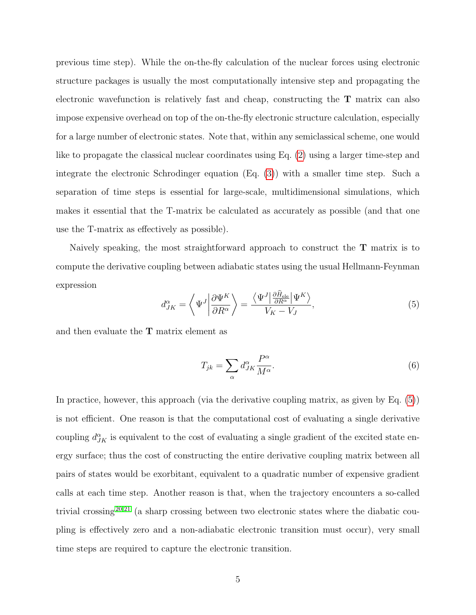previous time step). While the on-the-fly calculation of the nuclear forces using electronic structure packages is usually the most computationally intensive step and propagating the electronic wavefunction is relatively fast and cheap, constructing the  $T$  matrix can also impose expensive overhead on top of the on-the-fly electronic structure calculation, especially for a large number of electronic states. Note that, within any semiclassical scheme, one would like to propagate the classical nuclear coordinates using Eq. [\(2\)](#page-3-2) using a larger time-step and integrate the electronic Schrodinger equation (Eq. [\(3\)](#page-3-1)) with a smaller time step. Such a separation of time steps is essential for large-scale, multidimensional simulations, which makes it essential that the T-matrix be calculated as accurately as possible (and that one use the T-matrix as effectively as possible).

Naively speaking, the most straightforward approach to construct the T matrix is to compute the derivative coupling between adiabatic states using the usual Hellmann-Feynman expression

<span id="page-4-0"></span>
$$
d_{JK}^{\alpha} = \left\langle \Psi^{J} \middle| \frac{\partial \Psi^{K}}{\partial R^{\alpha}} \right\rangle = \frac{\left\langle \Psi^{J} \middle| \frac{\partial \hat{H}_{\text{ele}}}{\partial R^{\alpha}} \middle| \Psi^{K} \right\rangle}{V_{K} - V_{J}},\tag{5}
$$

and then evaluate the T matrix element as

$$
T_{jk} = \sum_{\alpha} d^{\alpha}_{JK} \frac{P^{\alpha}}{M^{\alpha}}.
$$
\n(6)

In practice, however, this approach (via the derivative coupling matrix, as given by Eq. [\(5\)](#page-4-0)) is not efficient. One reason is that the computational cost of evaluating a single derivative coupling  $d_{JK}^{\alpha}$  is equivalent to the cost of evaluating a single gradient of the excited state energy surface; thus the cost of constructing the entire derivative coupling matrix between all pairs of states would be exorbitant, equivalent to a quadratic number of expensive gradient calls at each time step. Another reason is that, when the trajectory encounters a so-called trivial crossing [20](#page-41-6)[,21](#page-41-7) (a sharp crossing between two electronic states where the diabatic coupling is effectively zero and a non-adiabatic electronic transition must occur), very small time steps are required to capture the electronic transition.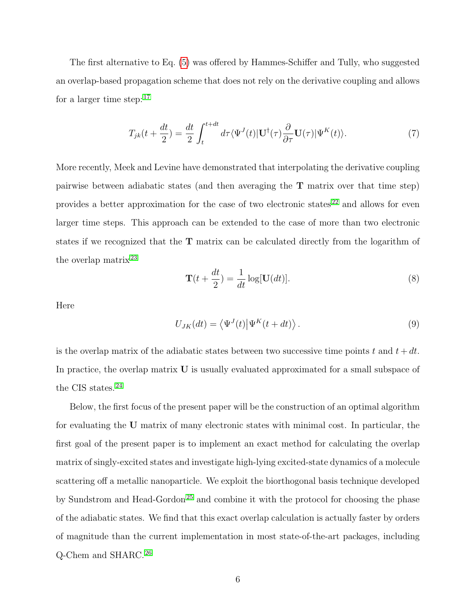The first alternative to Eq. [\(5\)](#page-4-0) was offered by Hammes-Schiffer and Tully, who suggested an overlap-based propagation scheme that does not rely on the derivative coupling and allows for a larger time step:  $17$ 

$$
T_{jk}(t + \frac{dt}{2}) = \frac{dt}{2} \int_{t}^{t + dt} d\tau \langle \Psi^{J}(t) | \mathbf{U}^{\dagger}(\tau) \frac{\partial}{\partial \tau} \mathbf{U}(\tau) | \Psi^{K}(t) \rangle.
$$
 (7)

More recently, Meek and Levine have demonstrated that interpolating the derivative coupling pairwise between adiabatic states (and then averaging the T matrix over that time step) provides a better approximation for the case of two electronic states  $22$  and allows for even larger time steps. This approach can be extended to the case of more than two electronic states if we recognized that the T matrix can be calculated directly from the logarithm of the overlap matrix [23](#page-42-0)

$$
\mathbf{T}(t + \frac{dt}{2}) = \frac{1}{dt} \log[\mathbf{U}(dt)].
$$
\n(8)

Here

$$
U_{JK}(dt) = \langle \Psi^J(t) | \Psi^K(t + dt) \rangle.
$$
 (9)

is the overlap matrix of the adiabatic states between two successive time points t and  $t + dt$ . In practice, the overlap matrix U is usually evaluated approximated for a small subspace of the CIS states.<sup>[24](#page-42-1)</sup>

Below, the first focus of the present paper will be the construction of an optimal algorithm for evaluating the U matrix of many electronic states with minimal cost. In particular, the first goal of the present paper is to implement an exact method for calculating the overlap matrix of singly-excited states and investigate high-lying excited-state dynamics of a molecule scattering off a metallic nanoparticle. We exploit the biorthogonal basis technique developed by Sundstrom and Head-Gordon<sup>[25](#page-42-2)</sup> and combine it with the protocol for choosing the phase of the adiabatic states. We find that this exact overlap calculation is actually faster by orders of magnitude than the current implementation in most state-of-the-art packages, including Q-Chem and SHARC.[26](#page-42-3)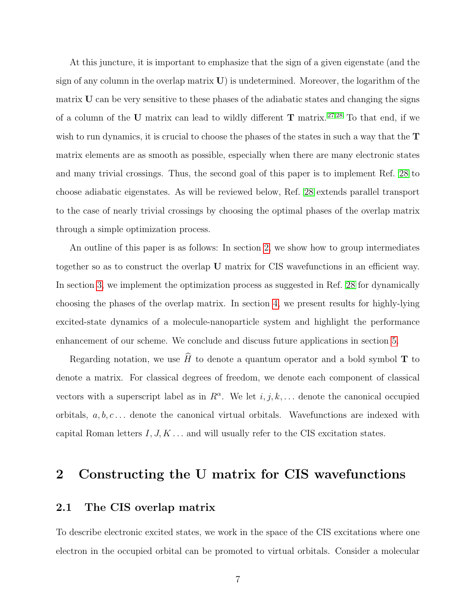At this juncture, it is important to emphasize that the sign of a given eigenstate (and the sign of any column in the overlap matrix  $\bf{U}$ ) is undetermined. Moreover, the logarithm of the matrix U can be very sensitive to these phases of the adiabatic states and changing the signs of a column of the U matrix can lead to wildly different  $\bf{T}$  matrix.<sup>[27](#page-42-4)[,28](#page-42-5)</sup> To that end, if we wish to run dynamics, it is crucial to choose the phases of the states in such a way that the  $T$ matrix elements are as smooth as possible, especially when there are many electronic states and many trivial crossings. Thus, the second goal of this paper is to implement Ref. [28](#page-42-5) to choose adiabatic eigenstates. As will be reviewed below, Ref. [28](#page-42-5) extends parallel transport to the case of nearly trivial crossings by choosing the optimal phases of the overlap matrix through a simple optimization process.

An outline of this paper is as follows: In section [2,](#page-6-0) we show how to group intermediates together so as to construct the overlap U matrix for CIS wavefunctions in an efficient way. In section [3,](#page-20-0) we implement the optimization process as suggested in Ref. [28](#page-42-5) for dynamically choosing the phases of the overlap matrix. In section [4,](#page-22-0) we present results for highly-lying excited-state dynamics of a molecule-nanoparticle system and highlight the performance enhancement of our scheme. We conclude and discuss future applications in section [5.](#page-31-0)

Regarding notation, we use  $\widehat{H}$  to denote a quantum operator and a bold symbol T to denote a matrix. For classical degrees of freedom, we denote each component of classical vectors with a superscript label as in  $R^{\alpha}$ . We let  $i, j, k, \dots$  denote the canonical occupied orbitals,  $a, b, c \ldots$  denote the canonical virtual orbitals. Wavefunctions are indexed with capital Roman letters  $I, J, K, \ldots$  and will usually refer to the CIS excitation states.

# <span id="page-6-0"></span>2 Constructing the U matrix for CIS wavefunctions

#### 2.1 The CIS overlap matrix

To describe electronic excited states, we work in the space of the CIS excitations where one electron in the occupied orbital can be promoted to virtual orbitals. Consider a molecular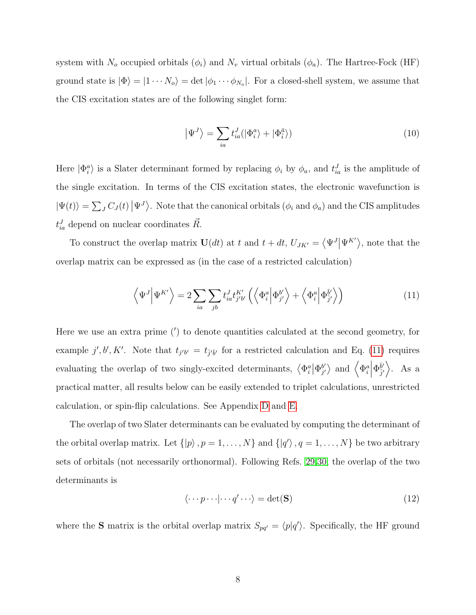system with  $N_o$  occupied orbitals  $(\phi_i)$  and  $N_v$  virtual orbitals  $(\phi_a)$ . The Hartree-Fock (HF) ground state is  $|\Phi\rangle = |1 \cdots N_o\rangle = \det |\phi_1 \cdots \phi_{N_o}|$ . For a closed-shell system, we assume that the CIS excitation states are of the following singlet form:

$$
\left|\Psi^{J}\right\rangle = \sum_{ia} t_{ia}^{J} (\left|\Phi_{i}^{a}\right\rangle + \left|\Phi_{\bar{i}}^{\bar{a}}\right\rangle) \tag{10}
$$

Here  $|\Phi_i^a\rangle$  is a Slater determinant formed by replacing  $\phi_i$  by  $\phi_a$ , and  $t_{ia}^J$  is the amplitude of the single excitation. In terms of the CIS excitation states, the electronic wavefunction is  $|\Psi(t)\rangle = \sum_{J} C_{J}(t) |\Psi^{J}\rangle$ . Note that the canonical orbitals  $(\phi_{i}$  and  $\phi_{a})$  and the CIS amplitudes  $t_{ia}^J$  depend on nuclear coordinates  $\vec{R}$ .

To construct the overlap matrix  $\mathbf{U}(dt)$  at t and  $t + dt$ ,  $U_{JK'} = \langle \Psi^J | \Psi^{K'} \rangle$ , note that the overlap matrix can be expressed as (in the case of a restricted calculation)

<span id="page-7-0"></span>
$$
\left\langle \Psi^{J} \Big| \Psi^{K'} \right\rangle = 2 \sum_{ia} \sum_{jb} t_{ia}^{J} t_{jb'}^{K'} \left( \left\langle \Phi_{i}^{a} \Big| \Phi_{j'}^{b'} \right\rangle + \left\langle \Phi_{i}^{a} \Big| \Phi_{j'}^{\bar{b}'} \right\rangle \right)
$$
(11)

Here we use an extra prime (′ ) to denote quantities calculated at the second geometry, for example j', b', K'. Note that  $t_{j'b'} = t_{\bar{j'}\bar{b}'}$  for a restricted calculation and Eq. [\(11\)](#page-7-0) requires evaluating the overlap of two singly-excited determinants,  $\langle \Phi_i^a | \Phi_{j'}^{b'} \rangle$  $_{j'}^{b'}\rangle$  and  $\left\langle \Phi _{i}^{a}\right\vert$  $\langle \Phi_{\bar{j}'}^{\bar{b}'} \rangle$ . As a practical matter, all results below can be easily extended to triplet calculations, unrestricted calculation, or spin-flip calculations. See Appendix [D](#page-36-0) and [E.](#page-37-0)

The overlap of two Slater determinants can be evaluated by computing the determinant of the orbital overlap matrix. Let  $\{|p\rangle, p=1,\ldots,N\}$  and  $\{|q'\rangle, q=1,\ldots,N\}$  be two arbitrary sets of orbitals (not necessarily orthonormal). Following Refs. [29](#page-42-6)[,30,](#page-43-0) the overlap of the two determinants is

<span id="page-7-1"></span>
$$
\langle \cdots p \cdots | \cdots q' \cdots \rangle = \det(\mathbf{S}) \tag{12}
$$

where the **S** matrix is the orbital overlap matrix  $S_{pq'} = \langle p|q' \rangle$ . Specifically, the HF ground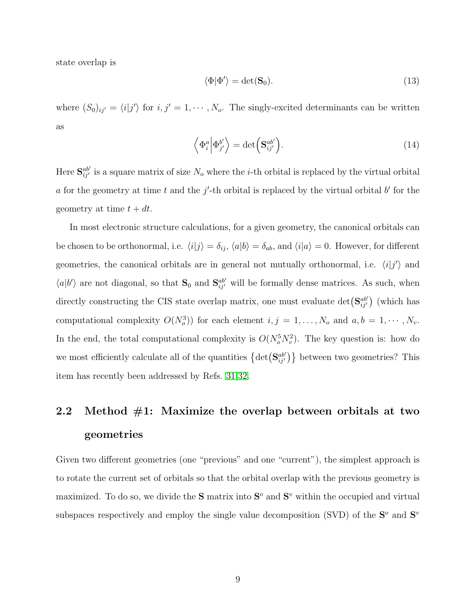state overlap is

$$
\langle \Phi | \Phi' \rangle = \det(\mathbf{S}_0). \tag{13}
$$

where  $(S_0)_{ij'} = \langle i|j'\rangle$  for  $i, j' = 1, \dots, N_o$ . The singly-excited determinants can be written as

<span id="page-8-0"></span>
$$
\left\langle \Phi_i^a \middle| \Phi_{j'}^{b'} \right\rangle = \det \left( \mathbf{S}_{ij'}^{ab'} \right). \tag{14}
$$

Here  $S_{ij'}^{ab'}$  is a square matrix of size  $N_o$  where the *i*-th orbital is replaced by the virtual orbital a for the geometry at time t and the  $j'$ -th orbital is replaced by the virtual orbital b' for the geometry at time  $t + dt$ .

In most electronic structure calculations, for a given geometry, the canonical orbitals can be chosen to be orthonormal, i.e.  $\langle i|j\rangle = \delta_{ij}$ ,  $\langle a|b\rangle = \delta_{ab}$ , and  $\langle i|a\rangle = 0$ . However, for different geometries, the canonical orbitals are in general not mutually orthonormal, i.e.  $\langle i|j'\rangle$  and  $\langle a|b'\rangle$  are not diagonal, so that  $\mathbf{S}_0$  and  $\mathbf{S}_{ij'}^{ab'}$  will be formally dense matrices. As such, when directly constructing the CIS state overlap matrix, one must evaluate  $\det(\mathbf{S}_{ij}^{ab'})$  (which has computational complexity  $O(N_o^3)$  for each element  $i, j = 1, ..., N_o$  and  $a, b = 1, ..., N_v$ . In the end, the total computational complexity is  $O(N_o^5 N_v^2)$ . The key question is: how do we most efficiently calculate all of the quantities  $\{\det(\mathbf{S}_{ij}^{ab'})\}$  between two geometries? This item has recently been addressed by Refs. [31,](#page-43-1)[32.](#page-43-2)

# 2.2 Method  $#1$ : Maximize the overlap between orbitals at two geometries

Given two different geometries (one "previous" and one "current"), the simplest approach is to rotate the current set of orbitals so that the orbital overlap with the previous geometry is maximized. To do so, we divide the **S** matrix into  $S<sup>o</sup>$  and  $S<sup>v</sup>$  within the occupied and virtual subspaces respectively and employ the single value decomposition (SVD) of the  $S^{\circ}$  and  $S^{\circ}$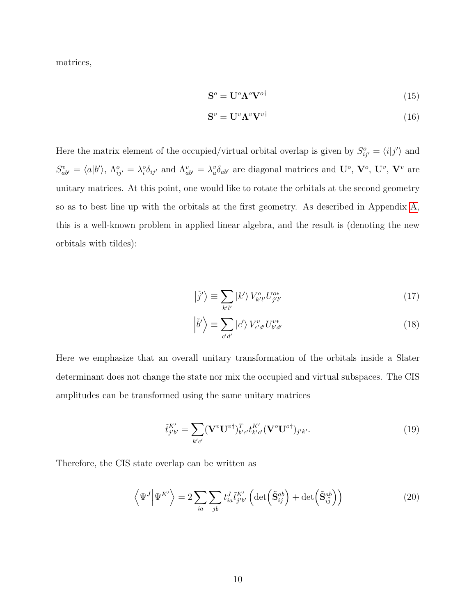matrices,

<span id="page-9-1"></span><span id="page-9-0"></span>
$$
\mathbf{S}^o = \mathbf{U}^o \Lambda^o \mathbf{V}^{o\dagger} \tag{15}
$$

$$
\mathbf{S}^v = \mathbf{U}^v \mathbf{\Lambda}^v \mathbf{V}^{v\dagger} \tag{16}
$$

Here the matrix element of the occupied/virtual orbital overlap is given by  $S_{ij'}^o = \langle i|j'\rangle$  and  $S_{ab'}^v = \langle a|b'\rangle$ ,  $\Lambda_{ij'}^o = \lambda_i^o \delta_{ij'}$  and  $\Lambda_{ab'}^v = \lambda_a^v \delta_{ab'}$  are diagonal matrices and  $\mathbf{U}^o$ ,  $\mathbf{V}^o$ ,  $\mathbf{U}^v$ ,  $\mathbf{V}^v$  are unitary matrices. At this point, one would like to rotate the orbitals at the second geometry so as to best line up with the orbitals at the first geometry. As described in Appendix [A,](#page-33-0) this is a well-known problem in applied linear algebra, and the result is (denoting the new orbitals with tildes):

$$
|\tilde{j}'\rangle \equiv \sum_{k'l'} |k'\rangle V^{o}_{k'l'} U^{o*}_{j'l'} \tag{17}
$$

$$
\left|\tilde{b}'\right\rangle \equiv \sum_{c'd'} \left|c'\right\rangle V_{c'd'}^v U_{b'd'}^{v*} \tag{18}
$$

Here we emphasize that an overall unitary transformation of the orbitals inside a Slater determinant does not change the state nor mix the occupied and virtual subspaces. The CIS amplitudes can be transformed using the same unitary matrices

<span id="page-9-2"></span>
$$
\tilde{t}_{j'b'}^{K'} = \sum_{k'c'} (\mathbf{V}^v \mathbf{U}^{v\dagger})_{b'c'}^T t_{k'c'}^{K'} (\mathbf{V}^o \mathbf{U}^{o\dagger})_{j'k'}.
$$
\n(19)

Therefore, the CIS state overlap can be written as

<span id="page-9-3"></span>
$$
\left\langle \Psi^{J} \middle| \Psi^{K'} \right\rangle = 2 \sum_{ia} \sum_{jb} t_{ia}^{J} t_{j'b'}^{K'} \left( \det \left( \tilde{\mathbf{S}}_{ij}^{ab} \right) + \det \left( \tilde{\mathbf{S}}_{i\bar{j}}^{a\bar{b}} \right) \right)
$$
(20)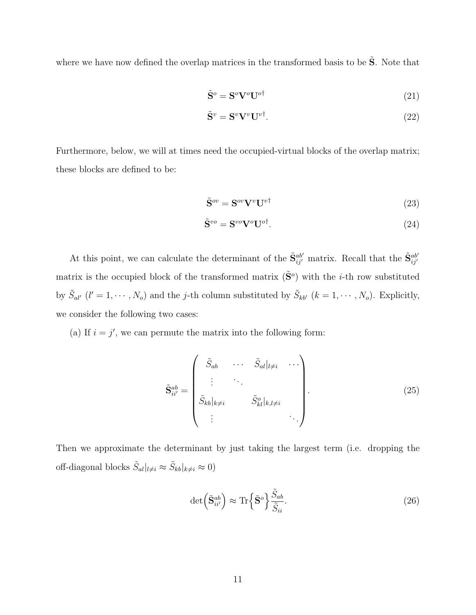where we have now defined the overlap matrices in the transformed basis to be  $\tilde{S}$ . Note that

<span id="page-10-1"></span>
$$
\tilde{\mathbf{S}}^o = \mathbf{S}^o \mathbf{V}^o \mathbf{U}^{o\dagger} \tag{21}
$$

$$
\tilde{\mathbf{S}}^v = \mathbf{S}^v \mathbf{V}^v \mathbf{U}^{v\dagger}.\tag{22}
$$

Furthermore, below, we will at times need the occupied-virtual blocks of the overlap matrix; these blocks are defined to be:

<span id="page-10-2"></span>
$$
\tilde{\mathbf{S}}^{ov} = \mathbf{S}^{ov} \mathbf{V}^v \mathbf{U}^{v\dagger} \tag{23}
$$

$$
\tilde{\mathbf{S}}^{vo} = \mathbf{S}^{vo} \mathbf{V}^o \mathbf{U}^{o\dagger}.\tag{24}
$$

At this point, we can calculate the determinant of the  $\tilde{\mathbf{S}}_{ij'}^{ab'}$  matrix. Recall that the  $\tilde{\mathbf{S}}_{ij'}^{ab'}$ matrix is the occupied block of the transformed matrix  $(\tilde{S}^o)$  with the *i*-th row substituted by  $\tilde{S}_{al'}$  ( $l' = 1, \dots, N_o$ ) and the *j*-th column substituted by  $\tilde{S}_{kb'}$  ( $k = 1, \dots, N_o$ ). Explicitly, we consider the following two cases:

(a) If  $i = j'$ , we can permute the matrix into the following form:

$$
\tilde{\mathbf{S}}_{ii'}^{ab} = \begin{pmatrix} \tilde{S}_{ab} & \cdots & \tilde{S}_{al}|_{l\neq i} & \cdots \\ \vdots & \ddots & \vdots \\ \tilde{S}_{kb}|_{k\neq i} & \tilde{S}_{kl}^{o}|_{k,l\neq i} \\ \vdots & \ddots & \vdots \end{pmatrix} .
$$
 (25)

Then we approximate the determinant by just taking the largest term (i.e. dropping the off-diagonal blocks  $\tilde{S}_{al}|_{l\neq i} \approx \tilde{S}_{kb}|_{k\neq i} \approx 0$ )

<span id="page-10-0"></span>
$$
\det\left(\tilde{\mathbf{S}}_{ii'}^{ab}\right) \approx \text{Tr}\left\{\tilde{\mathbf{S}}^o\right\}\frac{\tilde{S}_{ab}}{\tilde{S}_{ii}}.\tag{26}
$$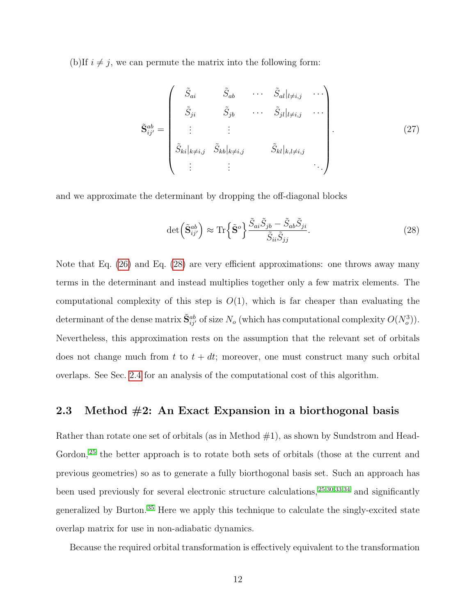(b)If  $i \neq j$ , we can permute the matrix into the following form:

$$
\tilde{\mathbf{S}}_{ij}^{ab} = \begin{pmatrix} \tilde{S}_{ai} & \tilde{S}_{ab} & \cdots & \tilde{S}_{al}|_{l \neq i,j} & \cdots \\ \tilde{S}_{ji} & \tilde{S}_{jb} & \cdots & \tilde{S}_{jl}|_{l \neq i,j} & \cdots \\ \vdots & \vdots & & \vdots & \vdots \\ \tilde{S}_{ki}|_{k \neq i,j} & \tilde{S}_{kb}|_{k \neq i,j} & \tilde{S}_{kl}|_{k,l \neq i,j} & \cdots \\ \vdots & \vdots & & \ddots \end{pmatrix} . \tag{27}
$$

and we approximate the determinant by dropping the off-diagonal blocks

<span id="page-11-0"></span>
$$
\det\left(\tilde{\mathbf{S}}_{ij'}^{ab}\right) \approx \text{Tr}\left\{\tilde{\mathbf{S}}^o\right\} \frac{\tilde{S}_{ai}\tilde{S}_{jb} - \tilde{S}_{ab}\tilde{S}_{ji}}{\tilde{S}_{ii}\tilde{S}_{jj}}.
$$
\n(28)

Note that Eq. [\(26\)](#page-10-0) and Eq. [\(28\)](#page-11-0) are very efficient approximations: one throws away many terms in the determinant and instead multiplies together only a few matrix elements. The computational complexity of this step is  $O(1)$ , which is far cheaper than evaluating the determinant of the dense matrix  $\tilde{\mathbf{S}}_{ij'}^{ab}$  of size  $N_o$  (which has computational complexity  $O(N_o^3)$ ). Nevertheless, this approximation rests on the assumption that the relevant set of orbitals does not change much from t to  $t + dt$ ; moreover, one must construct many such orbital overlaps. See Sec. [2.4](#page-18-0) for an analysis of the computational cost of this algorithm.

### 2.3 Method  $#2$ : An Exact Expansion in a biorthogonal basis

Rather than rotate one set of orbitals (as in Method  $\#1$ ), as shown by Sundstrom and Head-Gordon,<sup>[25](#page-42-2)</sup> the better approach is to rotate both sets of orbitals (those at the current and previous geometries) so as to generate a fully biorthogonal basis set. Such an approach has been used previously for several electronic structure calculations, [25](#page-42-2)[,30](#page-43-0)[,33,](#page-43-3)[34](#page-43-4) and significantly generalized by Burton. [35](#page-43-5) Here we apply this technique to calculate the singly-excited state overlap matrix for use in non-adiabatic dynamics.

Because the required orbital transformation is effectively equivalent to the transformation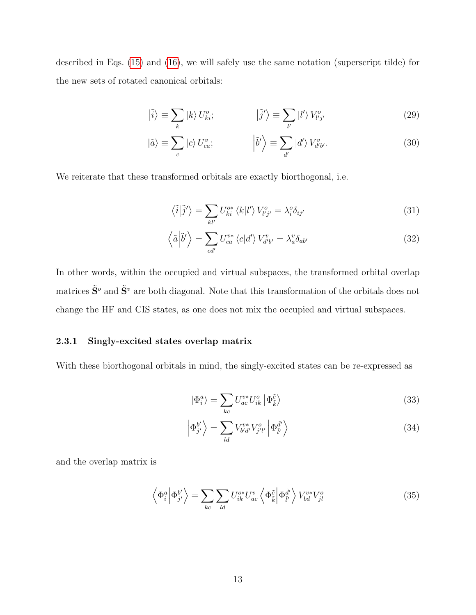described in Eqs. [\(15\)](#page-9-0) and [\(16\)](#page-9-1), we will safely use the same notation (superscript tilde) for the new sets of rotated canonical orbitals:

$$
|\tilde{i}\rangle \equiv \sum_{k} |k\rangle U_{ki}^{o}; \qquad |\tilde{j}'\rangle \equiv \sum_{l'} |l'\rangle V_{l'j'}^{o} \qquad (29)
$$

$$
|\tilde{a}\rangle \equiv \sum_{c} |c\rangle U_{ca}^{v}; \qquad |\tilde{b}'\rangle \equiv \sum_{d'} |d'\rangle V_{d'b'}^{v}.
$$
 (30)

We reiterate that these transformed orbitals are exactly biorthogonal, i.e.

<span id="page-12-2"></span><span id="page-12-1"></span>
$$
\langle \tilde{i} | \tilde{j}' \rangle = \sum_{kl'} U_{ki}^{o*} \langle k | l' \rangle V_{l'j'}^{o} = \lambda_i^o \delta_{ij'}
$$
 (31)

$$
\left\langle \tilde{a} \middle| \tilde{b}' \right\rangle = \sum_{cd'} U_{ca}^{v*} \left\langle c \middle| d' \right\rangle V_{d'b'}^{v} = \lambda_a^v \delta_{ab'}
$$
\n(32)

In other words, within the occupied and virtual subspaces, the transformed orbital overlap matrices  $\tilde{\mathbf{S}}^o$  and  $\tilde{\mathbf{S}}^v$  are both diagonal. Note that this transformation of the orbitals does not change the HF and CIS states, as one does not mix the occupied and virtual subspaces.

#### 2.3.1 Singly-excited states overlap matrix

With these biorthogonal orbitals in mind, the singly-excited states can be re-expressed as

$$
|\Phi_i^a\rangle = \sum_{kc} U_{ac}^{v*} U_{ik}^o | \Phi_{\tilde{k}}^{\tilde{c}} \rangle
$$
 (33)

<span id="page-12-0"></span>
$$
\left| \Phi_{j'}^{b'} \right\rangle = \sum_{ld} V_{b'd'}^{v*} V_{j'l'}^{o} \left| \Phi_{\tilde{l}'}^{\tilde{d}'} \right\rangle \tag{34}
$$

and the overlap matrix is

$$
\left\langle \Phi_i^a \middle| \Phi_{j'}^{b'} \right\rangle = \sum_{kc} \sum_{ld} U_{ik}^{o*} U_{ac}^v \left\langle \Phi_{\tilde{k}}^{\tilde{c}} \middle| \Phi_{\tilde{l'}}^{\tilde{d'}} \right\rangle V_{bd}^{v*} V_{jl}^o \tag{35}
$$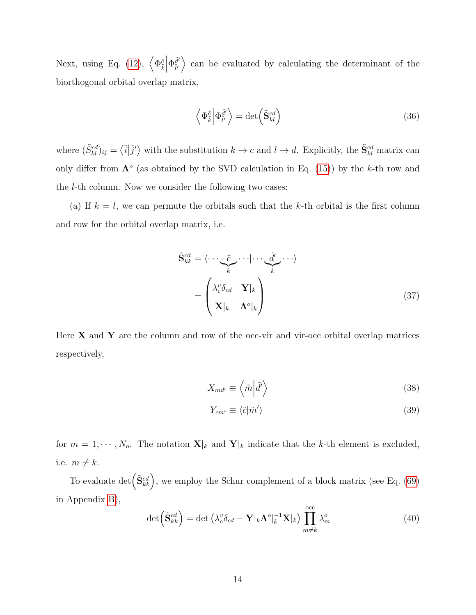Next, using Eq. [\(12\)](#page-7-1),  $\left\langle \Phi_{\tilde{k}}^{\tilde{c}}\right\rangle$  $\begin{array}{c} \begin{array}{c} \begin{array}{c} \end{array} \\ \begin{array}{c} \end{array} \end{array} \end{array}$  $\Phi_{\tilde{\nu}}^{\tilde{d}'}$  $\left\{\begin{matrix} \tilde{d}' \\ \tilde{v} \end{matrix}\right\}$  can be evaluated by calculating the determinant of the biorthogonal orbital overlap matrix,

$$
\left\langle \Phi_{\tilde{k}}^{\tilde{c}} \middle| \Phi_{\tilde{l'}}^{\tilde{d'}} \right\rangle = \det \left( \tilde{\mathbf{S}}_{kl}^{cd} \right) \tag{36}
$$

where  $(\tilde{S}_{kl}^{cd})_{ij} = \langle \tilde{i} | \tilde{j}' \rangle$  with the substitution  $k \to c$  and  $l \to d$ . Explicitly, the  $\tilde{S}_{kl}^{cd}$  matrix can only differ from  $\Lambda^o$  (as obtained by the SVD calculation in Eq. [\(15\)](#page-9-0)) by the k-th row and the l-th column. Now we consider the following two cases:

(a) If  $k = l$ , we can permute the orbitals such that the k-th orbital is the first column and row for the orbital overlap matrix, i.e.

$$
\tilde{\mathbf{S}}_{kk}^{cd} = \langle \cdots \underbrace{\tilde{c}}_{k} \cdots | \cdots \underbrace{\tilde{d}'}_{k} \cdots \rangle
$$
\n
$$
= \begin{pmatrix}\n\lambda_c^v \delta_{cd} & \mathbf{Y}|_k \\
\mathbf{X}|_k & \mathbf{\Lambda}^o|_k\n\end{pmatrix} \tag{37}
$$

Here  $X$  and  $Y$  are the column and row of the occ-vir and vir-occ orbital overlap matrices respectively,

$$
X_{md'} \equiv \left\langle \tilde{m} \left| \tilde{d}' \right\rangle \right\tag{38}
$$

$$
Y_{cm'} \equiv \langle \tilde{c} | \tilde{m}' \rangle \tag{39}
$$

for  $m = 1, \dots, N_o$ . The notation  $\mathbf{X}|_k$  and  $\mathbf{Y}|_k$  indicate that the k-th element is excluded, i.e.  $m \neq k$ .

To evaluate  $\det(\tilde{\mathbf{S}}_{kk}^{cd})$ , we employ the Schur complement of a block matrix (see Eq. [\(69\)](#page-34-0) in Appendix [B\)](#page-34-1),

$$
\det\left(\tilde{\mathbf{S}}_{kk}^{cd}\right) = \det\left(\lambda_c^v \delta_{cd} - \mathbf{Y}|_k \boldsymbol{\Lambda}^o|_k^{-1} \mathbf{X}|_k\right) \prod_{m \neq k}^{occ} \lambda_m^o \tag{40}
$$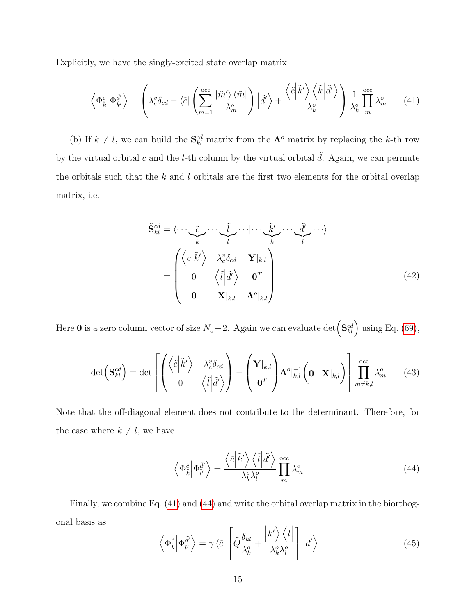Explicitly, we have the singly-excited state overlap matrix

<span id="page-14-0"></span>
$$
\left\langle \Phi_{\tilde{k}}^{\tilde{c}} \middle| \Phi_{\tilde{k}'}^{\tilde{d}'} \right\rangle = \left( \lambda_c^v \delta_{cd} - \left\langle \tilde{c} \middle| \left( \sum_{m=1}^{\text{occ}} \frac{\left| \tilde{m}' \right\rangle \left\langle \tilde{m} \right|}{\lambda_m^o} \right) \left| \tilde{d}' \right\rangle + \frac{\left\langle \tilde{c} \middle| \tilde{k}' \right\rangle \left\langle \tilde{k} \middle| \tilde{d}' \right\rangle}{\lambda_k^o} \right) \frac{1}{\lambda_k^o} \prod_{m=1}^{\text{occ}} \lambda_m^o \tag{41}
$$

(b) If  $k \neq l$ , we can build the  $\tilde{\mathbf{S}}_{kl}^{cd}$  matrix from the  $\mathbf{\Lambda}^o$  matrix by replacing the k-th row by the virtual orbital  $\tilde{c}$  and the *l*-th column by the virtual orbital  $\tilde{d}$ . Again, we can permute the orbitals such that the  $k$  and  $l$  orbitals are the first two elements for the orbital overlap matrix, i.e.

$$
\tilde{\mathbf{S}}_{kl}^{cd} = \langle \cdots \underbrace{\tilde{c}}_{k} \cdots \underbrace{\tilde{l}}_{l} \cdots | \cdots \underbrace{\tilde{k}}_{k'} \cdots \underbrace{\tilde{d}}_{l'} \cdots \rangle
$$
\n
$$
= \begin{pmatrix}\n\langle \tilde{c} | \tilde{k}' \rangle & \lambda_{c}^{v} \delta_{cd} & \mathbf{Y} |_{k,l} \\
0 & \langle \tilde{l} | \tilde{d}' \rangle & \mathbf{0}^{T} \\
\mathbf{0} & \mathbf{X} |_{k,l} & \mathbf{\Lambda}^{o} |_{k,l}\n\end{pmatrix}
$$
\n(42)

Here 0 is a zero column vector of size  $N_o - 2$ . Again we can evaluate det  $(\tilde{\mathbf{S}}_{kl}^{cd})$  using Eq. [\(69\)](#page-34-0),

$$
\det\left(\tilde{\mathbf{S}}_{kl}^{cd}\right) = \det\left[\begin{pmatrix} \left\langle \tilde{c} \Big| \tilde{k}' \right\rangle & \lambda_c^v \delta_{cd} \\ 0 & \left\langle \tilde{l} \Big| \tilde{d}' \right\rangle \end{pmatrix} - \begin{pmatrix} \mathbf{Y}|_{k,l} \\ \mathbf{0}^T \end{pmatrix} \Lambda^o|_{k,l}^{-1} \begin{pmatrix} \mathbf{0} & \mathbf{X}|_{k,l} \end{pmatrix} \right] \prod_{m \neq k,l}^{occ} \lambda_m^o \tag{43}
$$

Note that the off-diagonal element does not contribute to the determinant. Therefore, for the case where  $k \neq l$ , we have

<span id="page-14-1"></span>
$$
\left\langle \Phi_{\tilde{k}}^{\tilde{c}} \middle| \Phi_{\tilde{l}'}^{\tilde{d}'} \right\rangle = \frac{\left\langle \tilde{c} \middle| \tilde{k}' \right\rangle \left\langle \tilde{l} \middle| \tilde{d}' \right\rangle}{\lambda_k^o \lambda_l^o} \prod_m^{\text{occ}} \lambda_m^o \tag{44}
$$

Finally, we combine Eq. [\(41\)](#page-14-0) and [\(44\)](#page-14-1) and write the orbital overlap matrix in the biorthogonal basis as  $\overline{1}$ 

$$
\left\langle \Phi_{\tilde{k}}^{\tilde{c}} \middle| \Phi_{\tilde{l}'}^{\tilde{d}'} \right\rangle = \gamma \left\langle \tilde{c} \middle| \left[ \widehat{Q} \frac{\delta_{kl}}{\lambda_k^o} + \frac{\left| \tilde{k}' \right\rangle \left\langle \tilde{l} \right|}{\lambda_k^o \lambda_l^o} \right] \left| \tilde{d}' \right\rangle \tag{45}
$$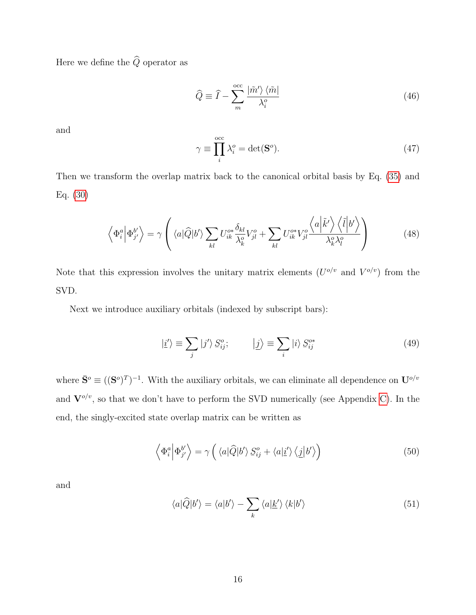Here we define the  $\widehat{Q}$  operator as

$$
\widehat{Q} \equiv \widehat{I} - \sum_{m}^{\text{occ}} \frac{|\tilde{m}'\rangle \langle \tilde{m}|}{\lambda_i^o} \tag{46}
$$

and

<span id="page-15-3"></span>
$$
\gamma \equiv \prod_{i}^{\text{occ}} \lambda_i^o = \det(\mathbf{S}^o). \tag{47}
$$

Then we transform the overlap matrix back to the canonical orbital basis by Eq. [\(35\)](#page-12-0) and Eq. [\(30\)](#page-12-1)

<span id="page-15-0"></span>
$$
\left\langle \Phi_i^a \middle| \Phi_{j'}^{b'} \right\rangle = \gamma \left( \langle a | \widehat{Q} | b' \rangle \sum_{kl} U_{ik}^{o*} \frac{\delta_{kl}}{\lambda_k^o} V_{jl}^o + \sum_{kl} U_{ik}^{o*} V_{jl}^o \frac{\left\langle a \middle| \tilde{k}' \right\rangle \left\langle \tilde{l} \middle| b' \right\rangle}{\lambda_k^o \lambda_l^o} \right) \tag{48}
$$

Note that this expression involves the unitary matrix elements  $(U^{o/v}$  and  $V^{o/v})$  from the SVD.

Next we introduce auxiliary orbitals (indexed by subscript bars):

$$
|\underline{i}'\rangle \equiv \sum_{j} |j'\rangle S_{ij}^{o}; \qquad |\underline{j}\rangle \equiv \sum_{i} |i\rangle S_{ij}^{o*} \qquad (49)
$$

where  $\bar{S}^o \equiv ((S^o)^T)^{-1}$ . With the auxiliary orbitals, we can eliminate all dependence on  $U^{o/v}$ and  $\mathbf{V}^{o/v}$ , so that we don't have to perform the SVD numerically (see Appendix [C\)](#page-34-2). In the end, the singly-excited state overlap matrix can be written as

<span id="page-15-1"></span>
$$
\left\langle \Phi_i^a \middle| \Phi_{j'}^{b'} \right\rangle = \gamma \left( \left\langle a \middle| \widehat{Q} \middle| b' \right\rangle S_{ij}^o + \left\langle a \middle| \underline{i'} \right\rangle \left\langle \underline{j} \middle| b' \right\rangle \right) \tag{50}
$$

and

<span id="page-15-2"></span>
$$
\langle a|\hat{Q}|b'\rangle = \langle a|b'\rangle - \sum_{k} \langle a|\underline{k'}\rangle \langle k|b'\rangle \tag{51}
$$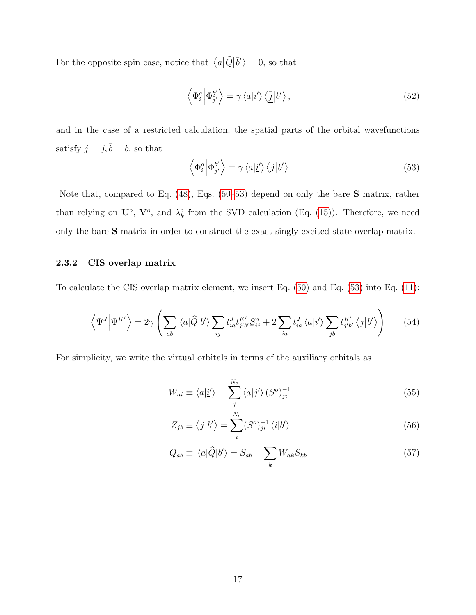For the opposite spin case, notice that  $\langle a|\hat{Q}|\bar{b}'\rangle = 0$ , so that

$$
\left\langle \Phi_i^a \middle| \Phi_{\bar{j}'}^{\bar{b}'} \right\rangle = \gamma \left\langle a \middle| \underline{i}' \right\rangle \left\langle \underline{\bar{j}} \middle| \bar{b}' \right\rangle, \tag{52}
$$

and in the case of a restricted calculation, the spatial parts of the orbital wavefunctions satisfy  $\bar{j} = j, \bar{b} = b$ , so that

<span id="page-16-0"></span>
$$
\left\langle \Phi_i^a \middle| \Phi_{\bar{j}'}^{\bar{b}'} \right\rangle = \gamma \left\langle a|\underline{i}'\right\rangle \left\langle \underline{j}|b'\right\rangle \tag{53}
$$

Note that, compared to Eq. [\(48\)](#page-15-0), Eqs. [\(50–](#page-15-1)[53\)](#page-16-0) depend on only the bare S matrix, rather than relying on  $\mathbf{U}^o$ ,  $\mathbf{V}^o$ , and  $\lambda^o_k$  from the SVD calculation (Eq. [\(15\)](#page-9-0)). Therefore, we need only the bare S matrix in order to construct the exact singly-excited state overlap matrix.

#### 2.3.2 CIS overlap matrix

To calculate the CIS overlap matrix element, we insert Eq. [\(50\)](#page-15-1) and Eq. [\(53\)](#page-16-0) into Eq. [\(11\)](#page-7-0):

$$
\left\langle \Psi^{J} \Big| \Psi^{K'} \right\rangle = 2\gamma \left( \sum_{ab} \left\langle a|\widehat{Q}|b'\right\rangle \sum_{ij} t_{ia}^{J} t_{j'b'}^{K'} S_{ij}^{o} + 2 \sum_{ia} t_{ia}^{J} \left\langle a|\underline{i}'\right\rangle \sum_{jb} t_{j'b'}^{K'} \left\langle \underline{j}|b'\right\rangle \right) \tag{54}
$$

For simplicity, we write the virtual orbitals in terms of the auxiliary orbitals as

<span id="page-16-1"></span>
$$
W_{ai} \equiv \langle a|\underline{i}'\rangle = \sum_{j}^{N_o} \langle a|j'\rangle \left(S^o\right)^{-1}_{ji} \tag{55}
$$

<span id="page-16-3"></span><span id="page-16-2"></span>
$$
Z_{jb} \equiv \langle \underline{j} | b' \rangle = \sum_{i}^{N_o} (S^o)^{-1}_{ji} \langle i | b' \rangle \tag{56}
$$

$$
Q_{ab} \equiv \langle a|\hat{Q}|b'\rangle = S_{ab} - \sum_{k} W_{ak}S_{kb} \tag{57}
$$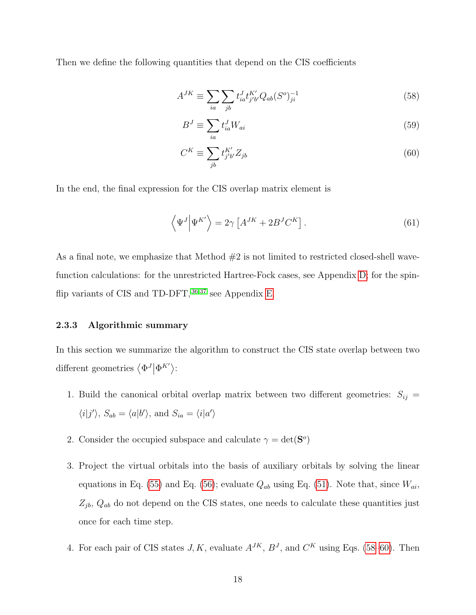Then we define the following quantities that depend on the CIS coefficients

$$
A^{JK} \equiv \sum_{ia} \sum_{jb} t_{ia}^J t_{j'b'}^{K'} Q_{ab} (S^o)_{ji}^{-1}
$$
 (58)

<span id="page-17-3"></span><span id="page-17-1"></span><span id="page-17-0"></span>
$$
B^J \equiv \sum_{ia} t_{ia}^J W_{ai} \tag{59}
$$

$$
C^K \equiv \sum_{jb} t_{j'b'}^{K'} Z_{jb} \tag{60}
$$

In the end, the final expression for the CIS overlap matrix element is

<span id="page-17-2"></span>
$$
\left\langle \Psi^{J} \right| \Psi^{K'} \right\rangle = 2\gamma \left[ A^{JK} + 2B^{J}C^{K} \right]. \tag{61}
$$

As a final note, we emphasize that Method  $#2$  is not limited to restricted closed-shell wavefunction calculations: for the unrestricted Hartree-Fock cases, see Appendix [D;](#page-36-0) for the spinflip variants of CIS and TD-DFT,  $36,37$  $36,37$  see Appendix [E.](#page-37-0)

#### 2.3.3 Algorithmic summary

In this section we summarize the algorithm to construct the CIS state overlap between two different geometries  $\langle \Phi^J | \Phi^{K'} \rangle$ :

- 1. Build the canonical orbital overlap matrix between two different geometries:  $S_{ij}$  =  $\langle i|j'\rangle$ ,  $S_{ab} = \langle a|b'\rangle$ , and  $S_{ia} = \langle i|a'\rangle$
- 2. Consider the occupied subspace and calculate  $\gamma = \det(\mathbf{S}^o)$
- 3. Project the virtual orbitals into the basis of auxiliary orbitals by solving the linear equations in Eq. [\(55\)](#page-16-1) and Eq. [\(56\)](#page-16-2); evaluate  $Q_{ab}$  using Eq. [\(51\)](#page-15-2). Note that, since  $W_{ai}$ ,  $Z_{jb}$ ,  $Q_{ab}$  do not depend on the CIS states, one needs to calculate these quantities just once for each time step.
- 4. For each pair of CIS states  $J, K$ , evaluate  $A^{JK}, B^{J}$ , and  $C^{K}$  using Eqs. [\(58–](#page-17-0)[60\)](#page-17-1). Then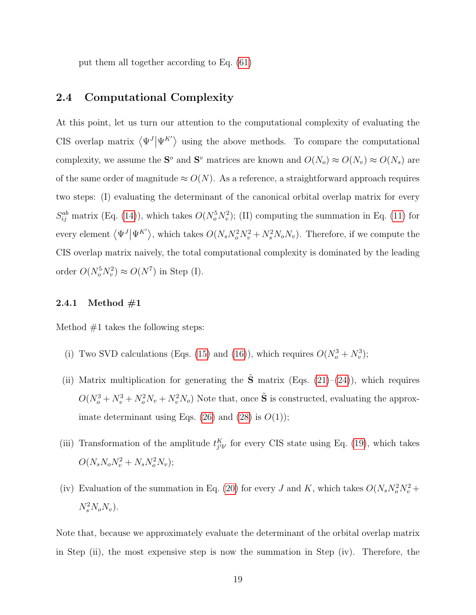put them all together according to Eq. [\(61\)](#page-17-2)

#### <span id="page-18-0"></span>2.4 Computational Complexity

At this point, let us turn our attention to the computational complexity of evaluating the CIS overlap matrix  $\langle \Psi^{J} | \Psi^{K'} \rangle$  using the above methods. To compare the computational complexity, we assume the  $S^o$  and  $S^v$  matrices are known and  $O(N_o) \approx O(N_v) \approx O(N_s)$  are of the same order of magnitude  $\approx O(N)$ . As a reference, a straightforward approach requires two steps: (I) evaluating the determinant of the canonical orbital overlap matrix for every  $S_{ij}^{ab}$  matrix (Eq. [\(14\)](#page-8-0)), which takes  $O(N_o^5 N_v^2)$ ; (II) computing the summation in Eq. [\(11\)](#page-7-0) for every element  $\langle \Psi^J | \Psi^{K'} \rangle$ , which takes  $O(N_s N_o^2 N_v^2 + N_s^2 N_o N_v)$ . Therefore, if we compute the CIS overlap matrix naively, the total computational complexity is dominated by the leading order  $O(N_o^5 N_v^2) \approx O(N^7)$  in Step (I).

#### 2.4.1 Method  $\#1$

Method  $#1$  takes the following steps:

- (i) Two SVD calculations (Eqs. [\(15\)](#page-9-0) and [\(16\)](#page-9-1)), which requires  $O(N_o^3 + N_v^3)$ ;
- (ii) Matrix multiplication for generating the  $\tilde{S}$  matrix (Eqs. [\(21\)](#page-10-1)–[\(24\)](#page-10-2)), which requires  $O(N_o^3 + N_v^3 + N_o^2 N_v + N_v^2 N_o)$  Note that, once  $\tilde{S}$  is constructed, evaluating the approximate determinant using Eqs.  $(26)$  and  $(28)$  is  $O(1)$ ;
- (iii) Transformation of the amplitude  $t_{j'b'}^K$  for every CIS state using Eq. [\(19\)](#page-9-2), which takes  $O(N_s N_o N_v^2 + N_s N_o^2 N_v);$
- (iv) Evaluation of the summation in Eq. [\(20\)](#page-9-3) for every J and K, which takes  $O(N_s N_o^2 N_v^2 +$  $N_s^2 N_o N_v$ ).

Note that, because we approximately evaluate the determinant of the orbital overlap matrix in Step (ii), the most expensive step is now the summation in Step (iv). Therefore, the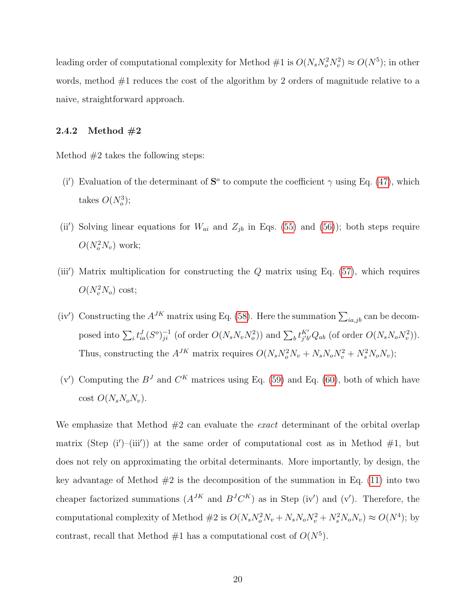leading order of computational complexity for Method  $\#1$  is  $O(N_s N_o^2 N_v^2) \approx O(N^5)$ ; in other words, method  $#1$  reduces the cost of the algorithm by 2 orders of magnitude relative to a naive, straightforward approach.

#### 2.4.2 Method  $\#2$

Method  $#2$  takes the following steps:

- (i') Evaluation of the determinant of  $S^{\circ}$  to compute the coefficient  $\gamma$  using Eq. [\(47\)](#page-15-3), which takes  $O(N_o^3);$
- (ii') Solving linear equations for  $W_{ai}$  and  $Z_{jb}$  in Eqs. [\(55\)](#page-16-1) and [\(56\)](#page-16-2)); both steps require  $O(N_o^2 N_v)$  work;
- (iii') Matrix multiplication for constructing the  $Q$  matrix using Eq. [\(57\)](#page-16-3), which requires  $O(N_v^2 N_o)$  cost;
- (iv') Constructing the  $A^{JK}$  matrix using Eq. [\(58\)](#page-17-0). Here the summation  $\sum_{ia,jb}$  can be decomposed into  $\sum_i t_{ia}^J (S^o)^{-1}_{ji}$  (of order  $O(N_s N_v N_o^2)$ ) and  $\sum_b t_{j'b'}^{K'} Q_{ab}$  (of order  $O(N_s N_o N_v^2)$ ). Thus, constructing the  $A^{JK}$  matrix requires  $O(N_sN_o^2N_v + N_sN_oN_v^2 + N_s^2N_oN_v)$ ;
- (v') Computing the  $B<sup>J</sup>$  and  $C<sup>K</sup>$  matrices using Eq. [\(59\)](#page-17-3) and Eq. [\(60\)](#page-17-1), both of which have cost  $O(N_sN_oN_v)$ .

We emphasize that Method  $#2$  can evaluate the *exact* determinant of the orbital overlap matrix (Step  $(i')$ -(iii')) at the same order of computational cost as in Method  $\#1$ , but does not rely on approximating the orbital determinants. More importantly, by design, the key advantage of Method  $#2$  is the decomposition of the summation in Eq. [\(11\)](#page-7-0) into two cheaper factorized summations  $(A^{JK}$  and  $B^{J}C^{K})$  as in Step (iv') and (v'). Therefore, the computational complexity of Method  $#2$  is  $O(N_sN_o^2N_v + N_sN_oN_v^2 + N_s^2N_oN_v) \approx O(N^4)$ ; by contrast, recall that Method  $#1$  has a computational cost of  $O(N^5)$ .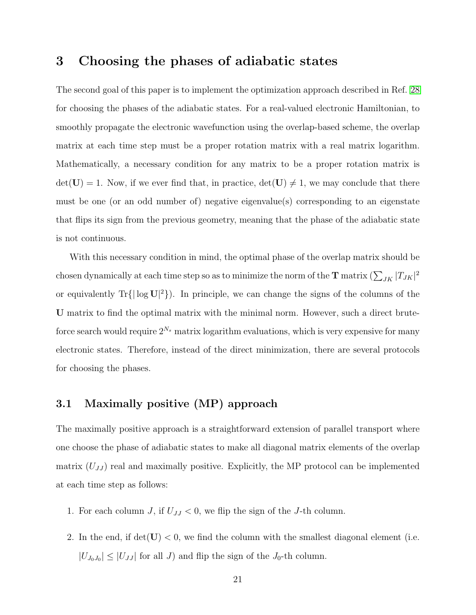# <span id="page-20-0"></span>3 Choosing the phases of adiabatic states

The second goal of this paper is to implement the optimization approach described in Ref. [28](#page-42-5) for choosing the phases of the adiabatic states. For a real-valued electronic Hamiltonian, to smoothly propagate the electronic wavefunction using the overlap-based scheme, the overlap matrix at each time step must be a proper rotation matrix with a real matrix logarithm. Mathematically, a necessary condition for any matrix to be a proper rotation matrix is  $det(\mathbf{U}) = 1$ . Now, if we ever find that, in practice,  $det(\mathbf{U}) \neq 1$ , we may conclude that there must be one (or an odd number of) negative eigenvalue(s) corresponding to an eigenstate that flips its sign from the previous geometry, meaning that the phase of the adiabatic state is not continuous.

With this necessary condition in mind, the optimal phase of the overlap matrix should be chosen dynamically at each time step so as to minimize the norm of the  $\bf T$  matrix  $(\sum_{JK}|T_{JK}|^2$ or equivalently  $\text{Tr}\{|\log U|^2\}$ . In principle, we can change the signs of the columns of the U matrix to find the optimal matrix with the minimal norm. However, such a direct bruteforce search would require  $2^{N_s}$  matrix logarithm evaluations, which is very expensive for many electronic states. Therefore, instead of the direct minimization, there are several protocols for choosing the phases.

#### 3.1 Maximally positive (MP) approach

The maximally positive approach is a straightforward extension of parallel transport where one choose the phase of adiabatic states to make all diagonal matrix elements of the overlap matrix  $(U_{JJ})$  real and maximally positive. Explicitly, the MP protocol can be implemented at each time step as follows:

- 1. For each column J, if  $U_{JJ} < 0$ , we flip the sign of the J-th column.
- 2. In the end, if  $det(U) < 0$ , we find the column with the smallest diagonal element (i.e.  $|U_{J_0J_0}| \leq |U_{JJ}|$  for all J) and flip the sign of the  $J_0$ -th column.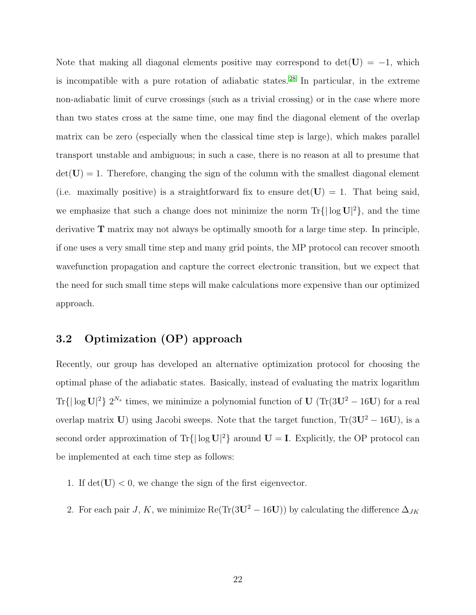Note that making all diagonal elements positive may correspond to  $\det(\mathbf{U}) = -1$ , which is incompatible with a pure rotation of adiabatic states. [28](#page-42-5) In particular, in the extreme non-adiabatic limit of curve crossings (such as a trivial crossing) or in the case where more than two states cross at the same time, one may find the diagonal element of the overlap matrix can be zero (especially when the classical time step is large), which makes parallel transport unstable and ambiguous; in such a case, there is no reason at all to presume that  $det(\mathbf{U}) = 1$ . Therefore, changing the sign of the column with the smallest diagonal element (i.e. maximally positive) is a straightforward fix to ensure  $\det(U) = 1$ . That being said, we emphasize that such a change does not minimize the norm  $\text{Tr}\{|\log U|^2\}$ , and the time derivative T matrix may not always be optimally smooth for a large time step. In principle, if one uses a very small time step and many grid points, the MP protocol can recover smooth wavefunction propagation and capture the correct electronic transition, but we expect that the need for such small time steps will make calculations more expensive than our optimized approach.

### 3.2 Optimization (OP) approach

Recently, our group has developed an alternative optimization protocol for choosing the optimal phase of the adiabatic states. Basically, instead of evaluating the matrix logarithm Tr{ $|\log \mathbf{U}|^2$ }  $2^{N_s}$  times, we minimize a polynomial function of  $\mathbf{U}$  (Tr( $3\mathbf{U}^2 - 16\mathbf{U}$ ) for a real overlap matrix U) using Jacobi sweeps. Note that the target function,  $Tr(3U^2 – 16U)$ , is a second order approximation of  $Tr\{|\log U|^2\}$  around  $U = I$ . Explicitly, the OP protocol can be implemented at each time step as follows:

- 1. If  $\det(\mathbf{U}) < 0$ , we change the sign of the first eigenvector.
- 2. For each pair J, K, we minimize Re(Tr(3U<sup>2</sup> 16U)) by calculating the difference  $\Delta_{JK}$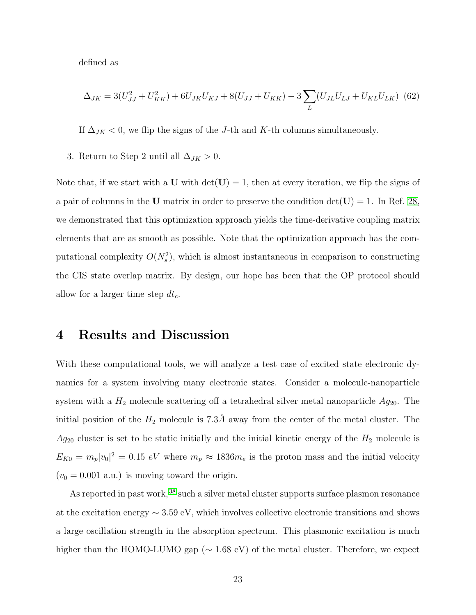defined as

$$
\Delta_{JK} = 3(U_{JJ}^2 + U_{KK}^2) + 6U_{JK}U_{KJ} + 8(U_{JJ} + U_{KK}) - 3\sum_{L} (U_{JL}U_{LJ} + U_{KL}U_{LK})
$$
 (62)

If  $\Delta_{JK}$  < 0, we flip the signs of the J-th and K-th columns simultaneously.

3. Return to Step 2 until all  $\Delta_{JK} > 0$ .

Note that, if we start with a U with  $det(U) = 1$ , then at every iteration, we flip the signs of a pair of columns in the U matrix in order to preserve the condition  $det(U) = 1$ . In Ref. [28,](#page-42-5) we demonstrated that this optimization approach yields the time-derivative coupling matrix elements that are as smooth as possible. Note that the optimization approach has the computational complexity  $O(N_s^2)$ , which is almost instantaneous in comparison to constructing the CIS state overlap matrix. By design, our hope has been that the OP protocol should allow for a larger time step  $dt_c$ .

### <span id="page-22-0"></span>4 Results and Discussion

With these computational tools, we will analyze a test case of excited state electronic dynamics for a system involving many electronic states. Consider a molecule-nanoparticle system with a  $H_2$  molecule scattering off a tetrahedral silver metal nanoparticle  $Ag_{20}$ . The initial position of the  $H_2$  molecule is 7.3Å away from the center of the metal cluster. The  $Ag_{20}$  cluster is set to be static initially and the initial kinetic energy of the  $H_2$  molecule is  $E_{K0} = m_p |v_0|^2 = 0.15 \text{ eV}$  where  $m_p \approx 1836 m_e$  is the proton mass and the initial velocity  $(v_0 = 0.001 \text{ a.u.})$  is moving toward the origin.

As reported in past work, <sup>[38](#page-43-8)</sup> such a silver metal cluster supports surface plasmon resonance at the excitation energy  $\sim 3.59$  eV, which involves collective electronic transitions and shows a large oscillation strength in the absorption spectrum. This plasmonic excitation is much higher than the HOMO-LUMO gap (∼ 1.68 eV) of the metal cluster. Therefore, we expect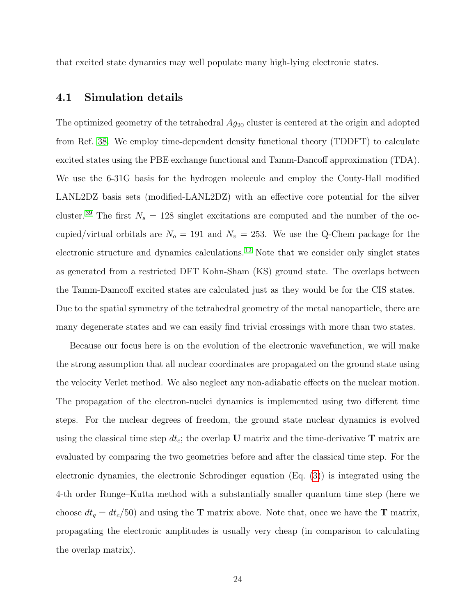that excited state dynamics may well populate many high-lying electronic states.

#### 4.1 Simulation details

The optimized geometry of the tetrahedral  $Ag_{20}$  cluster is centered at the origin and adopted from Ref. [38.](#page-43-8) We employ time-dependent density functional theory (TDDFT) to calculate excited states using the PBE exchange functional and Tamm-Dancoff approximation (TDA). We use the 6-31G basis for the hydrogen molecule and employ the Couty-Hall modified LANL2DZ basis sets (modified-LANL2DZ) with an effective core potential for the silver cluster.<sup>[39](#page-43-9)</sup> The first  $N_s = 128$  singlet excitations are computed and the number of the occupied/virtual orbitals are  $N_o = 191$  and  $N_v = 253$ . We use the Q-Chem package for the electronic structure and dynamics calculations. [12](#page-40-5) Note that we consider only singlet states as generated from a restricted DFT Kohn-Sham (KS) ground state. The overlaps between the Tamm-Damcoff excited states are calculated just as they would be for the CIS states. Due to the spatial symmetry of the tetrahedral geometry of the metal nanoparticle, there are many degenerate states and we can easily find trivial crossings with more than two states.

Because our focus here is on the evolution of the electronic wavefunction, we will make the strong assumption that all nuclear coordinates are propagated on the ground state using the velocity Verlet method. We also neglect any non-adiabatic effects on the nuclear motion. The propagation of the electron-nuclei dynamics is implemented using two different time steps. For the nuclear degrees of freedom, the ground state nuclear dynamics is evolved using the classical time step  $dt_c$ ; the overlap U matrix and the time-derivative T matrix are evaluated by comparing the two geometries before and after the classical time step. For the electronic dynamics, the electronic Schrodinger equation (Eq. [\(3\)](#page-3-1)) is integrated using the 4-th order Runge–Kutta method with a substantially smaller quantum time step (here we choose  $dt_q = dt_c/50$  and using the **T** matrix above. Note that, once we have the **T** matrix, propagating the electronic amplitudes is usually very cheap (in comparison to calculating the overlap matrix).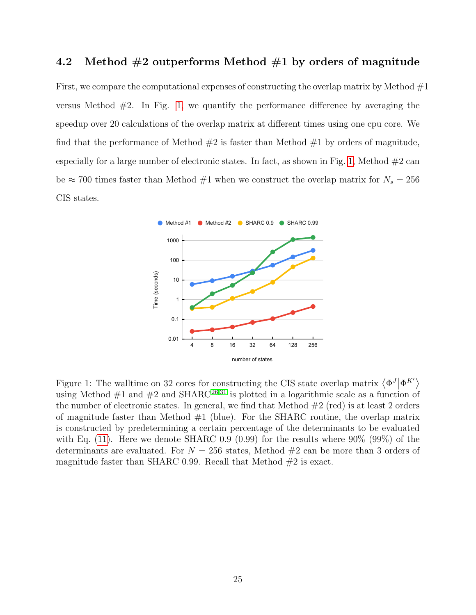### 4.2 Method  $#2$  outperforms Method  $#1$  by orders of magnitude

First, we compare the computational expenses of constructing the overlap matrix by Method  $\#1$ versus Method  $#2$ . In Fig. [1,](#page-24-0) we quantify the performance difference by averaging the speedup over 20 calculations of the overlap matrix at different times using one cpu core. We find that the performance of Method  $#2$  is faster than Method  $#1$  by orders of magnitude, especially for a large number of electronic states. In fact, as shown in Fig. [1,](#page-24-0) Method  $#2$  can be  $\approx 700$  times faster than Method #1 when we construct the overlap matrix for  $N_s = 256$ CIS states.

<span id="page-24-0"></span>

Figure 1: The walltime on 32 cores for constructing the CIS state overlap matrix  $\langle \Phi^J | \Phi^{K'} \rangle$ using Method  $\#1$  and  $\#2$  and SHARC<sup>[26,](#page-42-3)[31](#page-43-1)</sup> is plotted in a logarithmic scale as a function of the number of electronic states. In general, we find that Method  $#2$  (red) is at least 2 orders of magnitude faster than Method  $#1$  (blue). For the SHARC routine, the overlap matrix is constructed by predetermining a certain percentage of the determinants to be evaluated with Eq.  $(11)$ . Here we denote SHARC 0.9  $(0.99)$  for the results where 90%  $(99\%)$  of the determinants are evaluated. For  $N = 256$  states, Method  $\#2$  can be more than 3 orders of magnitude faster than SHARC 0.99. Recall that Method  $#2$  is exact.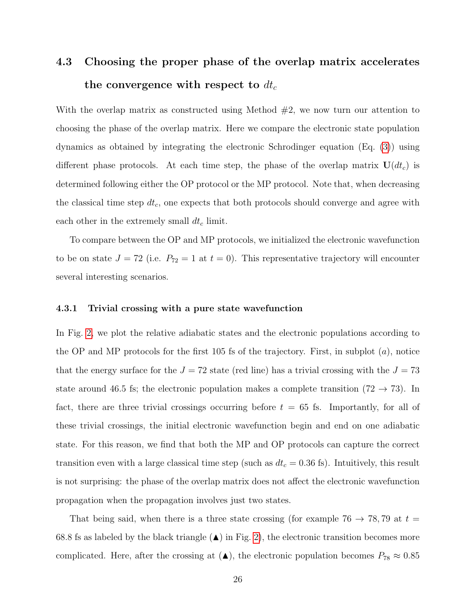# 4.3 Choosing the proper phase of the overlap matrix accelerates the convergence with respect to  $dt_c$

With the overlap matrix as constructed using Method  $#2$ , we now turn our attention to choosing the phase of the overlap matrix. Here we compare the electronic state population dynamics as obtained by integrating the electronic Schrodinger equation (Eq. [\(3\)](#page-3-1)) using different phase protocols. At each time step, the phase of the overlap matrix  $U(dt_c)$  is determined following either the OP protocol or the MP protocol. Note that, when decreasing the classical time step  $dt_c$ , one expects that both protocols should converge and agree with each other in the extremely small  $dt_c$  limit.

To compare between the OP and MP protocols, we initialized the electronic wavefunction to be on state  $J = 72$  (i.e.  $P_{72} = 1$  at  $t = 0$ ). This representative trajectory will encounter several interesting scenarios.

#### 4.3.1 Trivial crossing with a pure state wavefunction

In Fig. [2,](#page-27-0) we plot the relative adiabatic states and the electronic populations according to the OP and MP protocols for the first 105 fs of the trajectory. First, in subplot  $(a)$ , notice that the energy surface for the  $J = 72$  state (red line) has a trivial crossing with the  $J = 73$ state around 46.5 fs; the electronic population makes a complete transition (72  $\rightarrow$  73). In fact, there are three trivial crossings occurring before  $t = 65$  fs. Importantly, for all of these trivial crossings, the initial electronic wavefunction begin and end on one adiabatic state. For this reason, we find that both the MP and OP protocols can capture the correct transition even with a large classical time step (such as  $dt_c = 0.36$  fs). Intuitively, this result is not surprising: the phase of the overlap matrix does not affect the electronic wavefunction propagation when the propagation involves just two states.

That being said, when there is a three state crossing (for example 76  $\rightarrow$  78,79 at  $t =$ 68.8 fs as labeled by the black triangle  $(\triangle)$  in Fig. [2\)](#page-27-0), the electronic transition becomes more complicated. Here, after the crossing at  $(\triangle)$ , the electronic population becomes  $P_{78} \approx 0.85$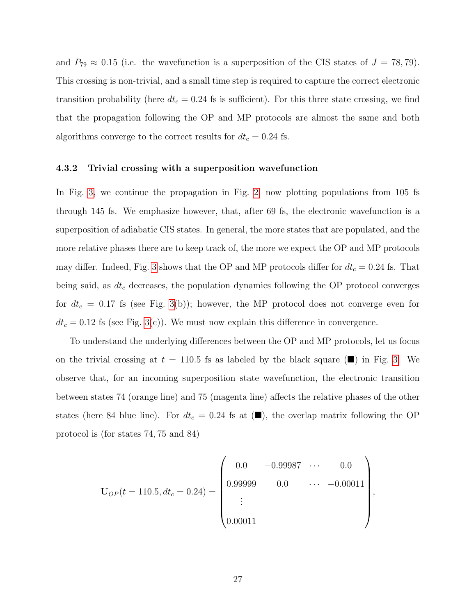and  $P_{79} \approx 0.15$  (i.e. the wavefunction is a superposition of the CIS states of  $J = 78, 79$ ). This crossing is non-trivial, and a small time step is required to capture the correct electronic transition probability (here  $dt_c = 0.24$  fs is sufficient). For this three state crossing, we find that the propagation following the OP and MP protocols are almost the same and both algorithms converge to the correct results for  $dt_c = 0.24$  fs.

#### 4.3.2 Trivial crossing with a superposition wavefunction

In Fig. [3,](#page-30-0) we continue the propagation in Fig. [2,](#page-27-0) now plotting populations from 105 fs through 145 fs. We emphasize however, that, after 69 fs, the electronic wavefunction is a superposition of adiabatic CIS states. In general, the more states that are populated, and the more relative phases there are to keep track of, the more we expect the OP and MP protocols may differ. Indeed, Fig. [3](#page-30-0) shows that the OP and MP protocols differ for  $dt_c = 0.24$  fs. That being said, as  $dt_c$  decreases, the population dynamics following the OP protocol converges for  $dt_c = 0.17$  fs (see Fig. [3\(](#page-30-0)b)); however, the MP protocol does not converge even for  $dt_c = 0.12$  fs (see Fig. [3\(](#page-30-0)c)). We must now explain this difference in convergence.

To understand the underlying differences between the OP and MP protocols, let us focus on the trivial crossing at  $t = 110.5$  fs as labeled by the black square ( $\blacksquare$ ) in Fig. [3.](#page-30-0) We observe that, for an incoming superposition state wavefunction, the electronic transition between states 74 (orange line) and 75 (magenta line) affects the relative phases of the other states (here 84 blue line). For  $dt_c = 0.24$  fs at ( $\blacksquare$ ), the overlap matrix following the OP protocol is (for states 74, 75 and 84)

$$
\mathbf{U}_{OP}(t=110.5, dt_c = 0.24) = \begin{pmatrix} 0.0 & -0.99987 & \cdots & 0.0 \\ 0.99999 & 0.0 & \cdots & -0.00011 \\ \vdots & & & \\ 0.00011 & & & \end{pmatrix},
$$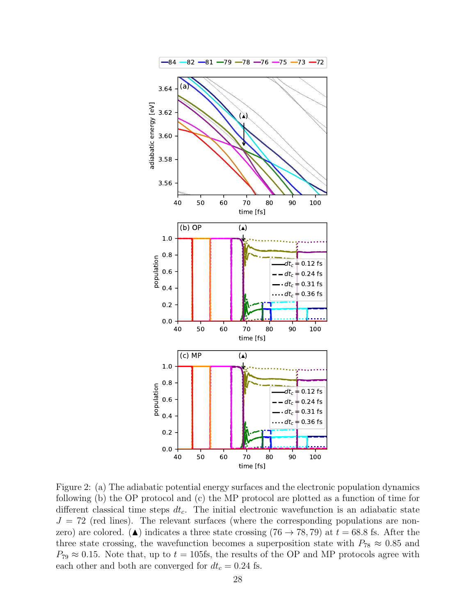<span id="page-27-0"></span>

Figure 2: (a) The adiabatic potential energy surfaces and the electronic population dynamics following (b) the OP protocol and (c) the MP protocol are plotted as a function of time for different classical time steps  $dt_c$ . The initial electronic wavefunction is an adiabatic state  $J = 72$  (red lines). The relevant surfaces (where the corresponding populations are nonzero) are colored. ( $\triangle$ ) indicates a three state crossing (76  $\rightarrow$  78,79) at  $t = 68.8$  fs. After the three state crossing, the wavefunction becomes a superposition state with  $P_{78} \approx 0.85$  and  $P_{79} \approx 0.15$ . Note that, up to  $t = 105$ fs, the results of the OP and MP protocols agree with each other and both are converged for  $dt_c = 0.24$  fs.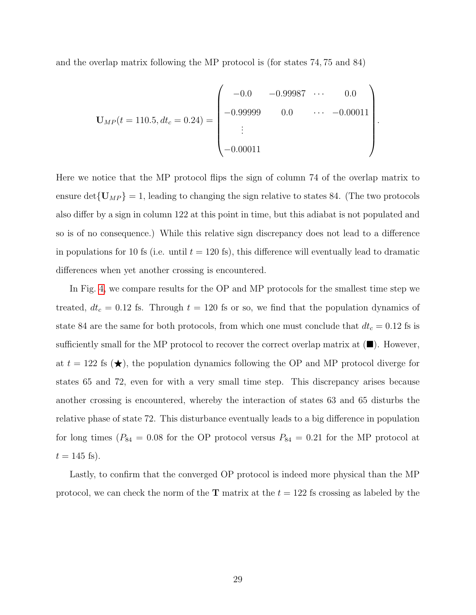and the overlap matrix following the MP protocol is (for states 74, 75 and 84)

$$
\mathbf{U}_{MP}(t=110.5, dt_c = 0.24) = \begin{pmatrix} -0.0 & -0.99987 & \cdots & 0.0 \\ -0.99999 & 0.0 & \cdots & -0.00011 \\ \vdots & & & \\ -0.00011 & & & \end{pmatrix}
$$

.

Here we notice that the MP protocol flips the sign of column 74 of the overlap matrix to ensure det ${U_{MP}} = 1$ , leading to changing the sign relative to states 84. (The two protocols also differ by a sign in column 122 at this point in time, but this adiabat is not populated and so is of no consequence.) While this relative sign discrepancy does not lead to a difference in populations for 10 fs (i.e. until  $t = 120$  fs), this difference will eventually lead to dramatic differences when yet another crossing is encountered.

In Fig. [4,](#page-31-1) we compare results for the OP and MP protocols for the smallest time step we treated,  $dt_c = 0.12$  fs. Through  $t = 120$  fs or so, we find that the population dynamics of state 84 are the same for both protocols, from which one must conclude that  $dt_c = 0.12$  fs is sufficiently small for the MP protocol to recover the correct overlap matrix at  $(\blacksquare)$ . However, at  $t = 122$  fs  $(\star)$ , the population dynamics following the OP and MP protocol diverge for states 65 and 72, even for with a very small time step. This discrepancy arises because another crossing is encountered, whereby the interaction of states 63 and 65 disturbs the relative phase of state 72. This disturbance eventually leads to a big difference in population for long times ( $P_{84} = 0.08$  for the OP protocol versus  $P_{84} = 0.21$  for the MP protocol at  $t = 145$  fs).

Lastly, to confirm that the converged OP protocol is indeed more physical than the MP protocol, we can check the norm of the **T** matrix at the  $t = 122$  fs crossing as labeled by the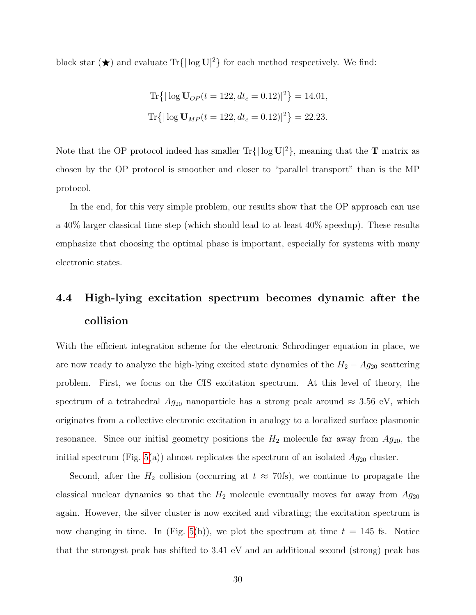black star  $(\star)$  and evaluate Tr{ $|\log \mathbf{U}|^2$ } for each method respectively. We find:

Tr
$$
\{|\log \mathbf{U}_{OP}(t = 122, dt_c = 0.12)|^2\} = 14.01,
$$
  
Tr $\{|\log \mathbf{U}_{MP}(t = 122, dt_c = 0.12)|^2\} = 22.23.$ 

Note that the OP protocol indeed has smaller  $\text{Tr}\{|\log U|^2\}$ , meaning that the **T** matrix as chosen by the OP protocol is smoother and closer to "parallel transport" than is the MP protocol.

In the end, for this very simple problem, our results show that the OP approach can use a 40% larger classical time step (which should lead to at least 40% speedup). These results emphasize that choosing the optimal phase is important, especially for systems with many electronic states.

# 4.4 High-lying excitation spectrum becomes dynamic after the collision

With the efficient integration scheme for the electronic Schrodinger equation in place, we are now ready to analyze the high-lying excited state dynamics of the  $H_2 - Ag_{20}$  scattering problem. First, we focus on the CIS excitation spectrum. At this level of theory, the spectrum of a tetrahedral  $Ag_{20}$  nanoparticle has a strong peak around  $\approx 3.56$  eV, which originates from a collective electronic excitation in analogy to a localized surface plasmonic resonance. Since our initial geometry positions the  $H_2$  molecule far away from  $Ag_{20}$ , the initial spectrum (Fig. [5\(](#page-32-0)a)) almost replicates the spectrum of an isolated  $Ag_{20}$  cluster.

Second, after the  $H_2$  collision (occurring at  $t \approx 70$ fs), we continue to propagate the classical nuclear dynamics so that the  $H_2$  molecule eventually moves far away from  $Ag_{20}$ again. However, the silver cluster is now excited and vibrating; the excitation spectrum is now changing in time. In (Fig. [5\(](#page-32-0)b)), we plot the spectrum at time  $t = 145$  fs. Notice that the strongest peak has shifted to 3.41 eV and an additional second (strong) peak has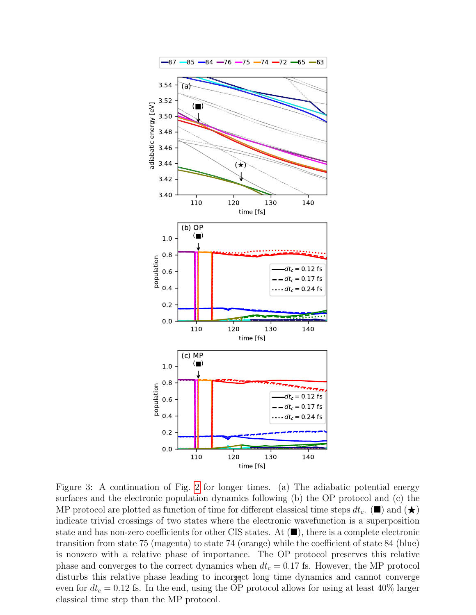<span id="page-30-0"></span>

Figure 3: A continuation of Fig. [2](#page-27-0) for longer times. (a) The adiabatic potential energy surfaces and the electronic population dynamics following (b) the OP protocol and (c) the MP protocol are plotted as function of time for different classical time steps  $dt_c$ . ( $\blacksquare$ ) and  $(\bigstar)$ indicate trivial crossings of two states where the electronic wavefunction is a superposition state and has non-zero coefficients for other CIS states. At (■), there is a complete electronic transition from state 75 (magenta) to state 74 (orange) while the coefficient of state 84 (blue) is nonzero with a relative phase of importance. The OP protocol preserves this relative phase and converges to the correct dynamics when  $dt_c = 0.17$  fs. However, the MP protocol disturbs this relative phase leading to incorrget long time dynamics and cannot converge even for  $dt_c = 0.12$  fs. In the end, using the OP protocol allows for using at least 40% larger classical time step than the MP protocol.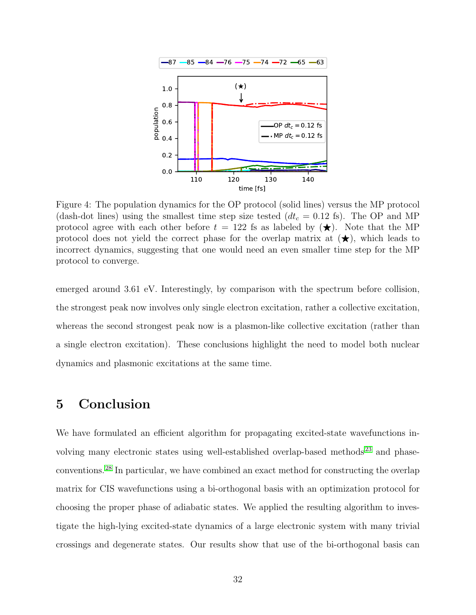<span id="page-31-1"></span>

Figure 4: The population dynamics for the OP protocol (solid lines) versus the MP protocol (dash-dot lines) using the smallest time step size tested  $(dt_c = 0.12 \text{ fs})$ . The OP and MP protocol agree with each other before  $t = 122$  fs as labeled by  $(\star)$ . Note that the MP protocol does not yield the correct phase for the overlap matrix at  $(\star)$ , which leads to incorrect dynamics, suggesting that one would need an even smaller time step for the MP protocol to converge.

emerged around 3.61 eV. Interestingly, by comparison with the spectrum before collision, the strongest peak now involves only single electron excitation, rather a collective excitation, whereas the second strongest peak now is a plasmon-like collective excitation (rather than a single electron excitation). These conclusions highlight the need to model both nuclear dynamics and plasmonic excitations at the same time.

# <span id="page-31-0"></span>5 Conclusion

We have formulated an efficient algorithm for propagating excited-state wavefunctions involving many electronic states using well-established overlap-based methods [23](#page-42-0) and phaseconventions.[28](#page-42-5) In particular, we have combined an exact method for constructing the overlap matrix for CIS wavefunctions using a bi-orthogonal basis with an optimization protocol for choosing the proper phase of adiabatic states. We applied the resulting algorithm to investigate the high-lying excited-state dynamics of a large electronic system with many trivial crossings and degenerate states. Our results show that use of the bi-orthogonal basis can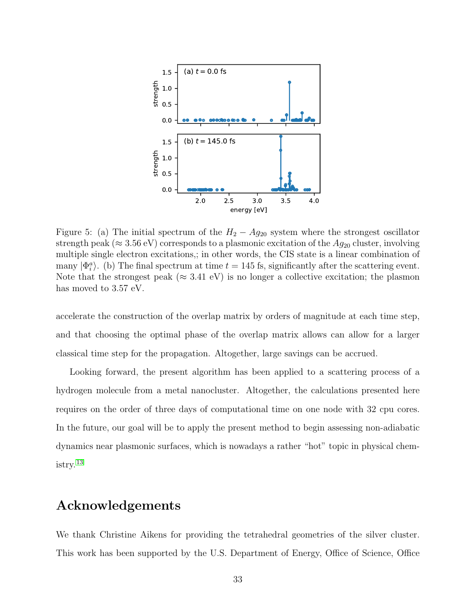<span id="page-32-0"></span>

Figure 5: (a) The initial spectrum of the  $H_2 - Ag_{20}$  system where the strongest oscillator strength peak ( $\approx 3.56$  eV) corresponds to a plasmonic excitation of the  $Ag_{20}$  cluster, involving multiple single electron excitations,; in other words, the CIS state is a linear combination of many  $|\Phi_i^a\rangle$ . (b) The final spectrum at time  $t = 145$  fs, significantly after the scattering event. Note that the strongest peak ( $\approx 3.41$  eV) is no longer a collective excitation; the plasmon has moved to 3.57 eV.

accelerate the construction of the overlap matrix by orders of magnitude at each time step, and that choosing the optimal phase of the overlap matrix allows can allow for a larger classical time step for the propagation. Altogether, large savings can be accrued.

Looking forward, the present algorithm has been applied to a scattering process of a hydrogen molecule from a metal nanocluster. Altogether, the calculations presented here requires on the order of three days of computational time on one node with 32 cpu cores. In the future, our goal will be to apply the present method to begin assessing non-adiabatic dynamics near plasmonic surfaces, which is nowadays a rather "hot" topic in physical chemistry.[13](#page-40-4)

# Acknowledgements

We thank Christine Aikens for providing the tetrahedral geometries of the silver cluster. This work has been supported by the U.S. Department of Energy, Office of Science, Office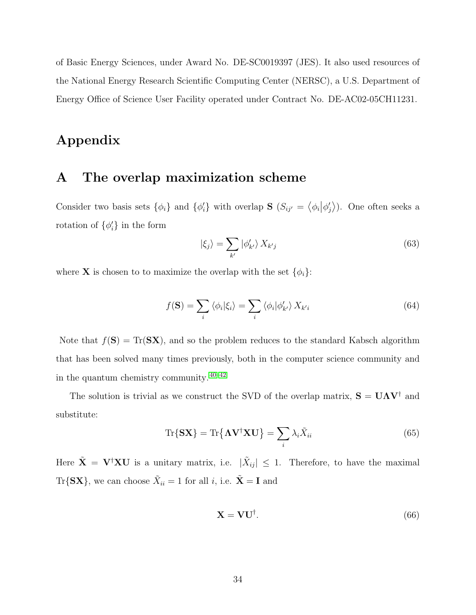of Basic Energy Sciences, under Award No. DE-SC0019397 (JES). It also used resources of the National Energy Research Scientific Computing Center (NERSC), a U.S. Department of Energy Office of Science User Facility operated under Contract No. DE-AC02-05CH11231.

# Appendix

# <span id="page-33-0"></span>A The overlap maximization scheme

Consider two basis sets  $\{\phi_i\}$  and  $\{\phi'_i\}$  with overlap **S**  $(S_{ij'} = \langle \phi_i | \phi'_j \rangle)$ . One often seeks a rotation of  $\{\phi_i'\}$  in the form

$$
|\xi_j\rangle = \sum_{k'} |\phi'_{k'}\rangle X_{k'j}
$$
 (63)

where **X** is chosen to to maximize the overlap with the set  $\{\phi_i\}$ :

$$
f(\mathbf{S}) = \sum_{i} \langle \phi_i | \xi_i \rangle = \sum_{i} \langle \phi_i | \phi'_{k'} \rangle X_{k'i}
$$
 (64)

Note that  $f(\mathbf{S}) = \text{Tr}(\mathbf{S}\mathbf{X})$ , and so the problem reduces to the standard Kabsch algorithm that has been solved many times previously, both in the computer science community and in the quantum chemistry community. [40](#page-44-0)[–42](#page-44-1)

The solution is trivial as we construct the SVD of the overlap matrix,  $S = U\Lambda V^{\dagger}$  and substitute:

$$
\operatorname{Tr}\{\mathbf{S}\mathbf{X}\} = \operatorname{Tr}\{\mathbf{\Lambda}\mathbf{V}^{\dagger}\mathbf{X}\mathbf{U}\} = \sum_{i} \lambda_{i} \tilde{X}_{ii}
$$
(65)

Here  $\tilde{\mathbf{X}} = \mathbf{V}^{\dagger} \mathbf{X} \mathbf{U}$  is a unitary matrix, i.e.  $|\tilde{X}_{ij}| \leq 1$ . Therefore, to have the maximal  $\text{Tr}\{\mathbf{S}\mathbf{X}\}\text{, we can choose }\tilde{X}_{ii} = 1 \text{ for all } i\text{, i.e. } \tilde{\mathbf{X}} = \mathbf{I} \text{ and }$ 

$$
\mathbf{X} = \mathbf{V}\mathbf{U}^{\dagger}.\tag{66}
$$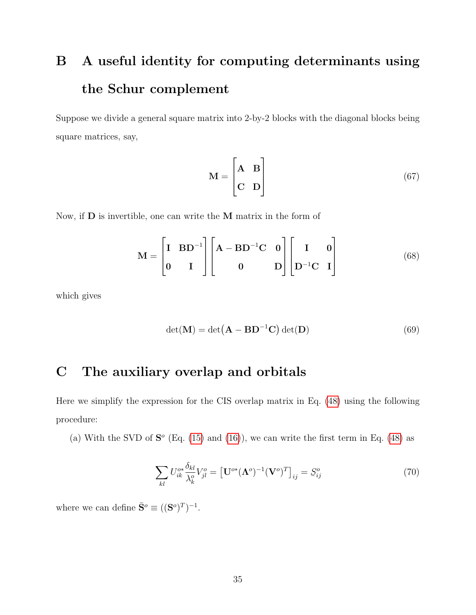# <span id="page-34-1"></span>B A useful identity for computing determinants using the Schur complement

Suppose we divide a general square matrix into 2-by-2 blocks with the diagonal blocks being square matrices, say,

$$
\mathbf{M} = \begin{bmatrix} \mathbf{A} & \mathbf{B} \\ \mathbf{C} & \mathbf{D} \end{bmatrix} \tag{67}
$$

Now, if D is invertible, one can write the M matrix in the form of

$$
\mathbf{M} = \begin{bmatrix} \mathbf{I} & \mathbf{B} \mathbf{D}^{-1} \\ \mathbf{0} & \mathbf{I} \end{bmatrix} \begin{bmatrix} \mathbf{A} - \mathbf{B} \mathbf{D}^{-1} \mathbf{C} & \mathbf{0} \\ \mathbf{0} & \mathbf{D} \end{bmatrix} \begin{bmatrix} \mathbf{I} & \mathbf{0} \\ \mathbf{D}^{-1} \mathbf{C} & \mathbf{I} \end{bmatrix}
$$
(68)

which gives

<span id="page-34-0"></span>
$$
\det(\mathbf{M}) = \det(\mathbf{A} - \mathbf{B} \mathbf{D}^{-1} \mathbf{C}) \det(\mathbf{D})
$$
\n(69)

# <span id="page-34-2"></span>C The auxiliary overlap and orbitals

Here we simplify the expression for the CIS overlap matrix in Eq. [\(48\)](#page-15-0) using the following procedure:

(a) With the SVD of  $S^{\circ}$  (Eq. [\(15\)](#page-9-0) and [\(16\)](#page-9-1)), we can write the first term in Eq. [\(48\)](#page-15-0) as

$$
\sum_{kl} U_{ik}^{o*} \frac{\delta_{kl}}{\lambda_k^o} V_{jl}^o = \left[ \mathbf{U}^{o*} (\boldsymbol{\Lambda}^o)^{-1} (\mathbf{V}^o)^T \right]_{ij} = S_{ij}^o \tag{70}
$$

where we can define  $\bar{\mathbf{S}}^o \equiv ((\mathbf{S}^o)^T)^{-1}$ .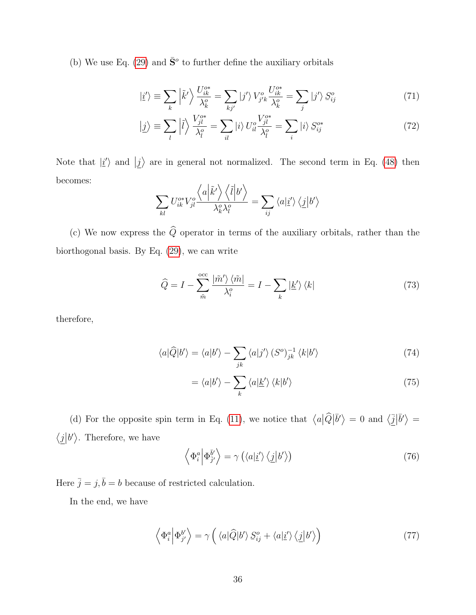(b) We use Eq. [\(29\)](#page-12-2) and  $\bar{S}^{\circ}$  to further define the auxiliary orbitals

$$
|\underline{i}'\rangle \equiv \sum_{k} \left| \tilde{k}' \right\rangle \frac{U_{ik}^{o*}}{\lambda_k^o} = \sum_{kj'} |j'\rangle V_{j'k}^{o} \frac{U_{ik}^{o*}}{\lambda_k^o} = \sum_{j} |j'\rangle S_{ij}^{o}
$$
 (71)

$$
|\underline{j}\rangle \equiv \sum_{l} \left|\tilde{l}\right\rangle \frac{V_{jl}^{o*}}{\lambda_l^o} = \sum_{il} \left|i\right\rangle U_{il}^o \frac{V_{jl}^{o*}}{\lambda_l^o} = \sum_{i} \left|i\right\rangle S_{ij}^{o*} \tag{72}
$$

Note that  $|i'\rangle$  and  $|j\rangle$  are in general not normalized. The second term in Eq. [\(48\)](#page-15-0) then becomes:

$$
\sum_{kl} U_{ik}^{o*} V_{jl}^{o} \frac{\left\langle a \left| \tilde{k}' \right\rangle \left\langle \tilde{l} \right| b' \right\rangle}{\lambda_k^o \lambda_l^o} = \sum_{ij} \left\langle a \left| \underline{i}' \right\rangle \left\langle \underline{j} \right| b' \right\rangle
$$

(c) We now express the  $\widehat{Q}$  operator in terms of the auxiliary orbitals, rather than the biorthogonal basis. By Eq. [\(29\)](#page-12-2), we can write

$$
\widehat{Q} = I - \sum_{\tilde{m}}^{\text{occ}} \frac{|\tilde{m}'\rangle \langle \tilde{m}|}{\lambda_i^o} = I - \sum_k |\underline{k}'\rangle \langle k| \tag{73}
$$

therefore,

$$
\langle a|\hat{Q}|b'\rangle = \langle a|b'\rangle - \sum_{jk} \langle a|j'\rangle \left(S^{o}\right)_{jk}^{-1} \langle k|b'\rangle \tag{74}
$$

$$
= \langle a|b'\rangle - \sum_{k} \langle a|\underline{k'}\rangle \langle k|b'\rangle \tag{75}
$$

(d) For the opposite spin term in Eq. [\(11\)](#page-7-0), we notice that  $\langle a|\hat{Q}|\bar{b}'\rangle = 0$  and  $\langle \underline{\bar{j}}|\bar{b}'\rangle =$  $\langle \underline{j}|b'\rangle$ . Therefore, we have

$$
\left\langle \Phi_i^a \middle| \Phi_{j'}^{\bar{b}'} \right\rangle = \gamma \left( \left\langle a | \underline{i}' \right\rangle \left\langle \underline{j} | b' \right\rangle \right) \tag{76}
$$

Here  $\bar{j}=j,\bar{b}=b$  because of restricted calculation.

In the end, we have

$$
\left\langle \Phi_i^a \middle| \Phi_{j'}^{b'} \right\rangle = \gamma \left( \left\langle a \middle| \widehat{Q} \middle| b' \right\rangle S_{ij}^o + \left\langle a \middle| \underline{i}' \right\rangle \left\langle \underline{j} \middle| b' \right\rangle \right) \tag{77}
$$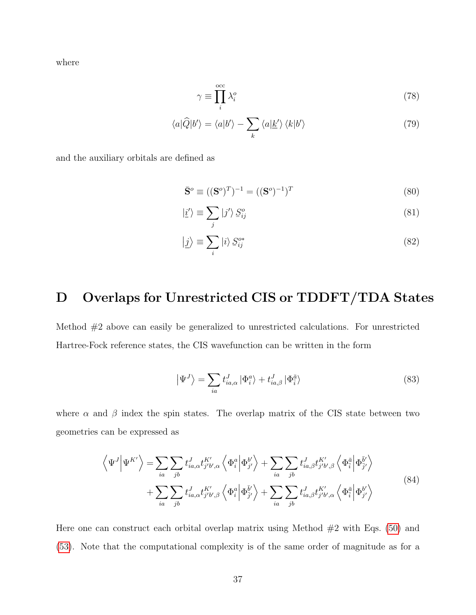where

$$
\gamma \equiv \prod_{i}^{\text{occ}} \lambda_i^o \tag{78}
$$

$$
\langle a|\widehat{Q}|b'\rangle = \langle a|b'\rangle - \sum_{k} \langle a|\underline{k'}\rangle \langle k|b'\rangle \tag{79}
$$

and the auxiliary orbitals are defined as

$$
\bar{\mathbf{S}}^o \equiv ((\mathbf{S}^o)^T)^{-1} = ((\mathbf{S}^o)^{-1})^T \tag{80}
$$

$$
|\underline{i}'\rangle \equiv \sum_{j} |j'\rangle S_{ij}^{o} \tag{81}
$$

$$
|\underline{j}\rangle \equiv \sum_{i} |i\rangle S_{ij}^{o*} \tag{82}
$$

# <span id="page-36-0"></span>D Overlaps for Unrestricted CIS or TDDFT/TDA States

Method #2 above can easily be generalized to unrestricted calculations. For unrestricted Hartree-Fock reference states, the CIS wavefunction can be written in the form

$$
\left| \Psi^{J} \right\rangle = \sum_{ia} t_{ia,\alpha}^{J} \left| \Phi_{i}^{a} \right\rangle + t_{ia,\beta}^{J} \left| \Phi_{\bar{i}}^{\bar{a}} \right\rangle \tag{83}
$$

where  $\alpha$  and  $\beta$  index the spin states. The overlap matrix of the CIS state between two geometries can be expressed as

$$
\left\langle \Psi^{J} \middle| \Psi^{K'} \right\rangle = \sum_{ia} \sum_{jb} t_{ia,\alpha}^{J} t_{j'b',\alpha}^{K'} \left\langle \Phi_{i}^{a} \middle| \Phi_{j'}^{b'} \right\rangle + \sum_{ia} \sum_{jb} t_{ia,\beta}^{J} t_{j'b',\beta}^{K'} \left\langle \Phi_{\overline{i}}^{\overline{a}} \middle| \Phi_{\overline{j'}}^{\overline{b'}} \right\rangle + \sum_{ia} \sum_{jb} t_{ia,\alpha}^{J} t_{j'b',\beta}^{K'} \left\langle \Phi_{i}^{a} \middle| \Phi_{\overline{j'}}^{b'} \right\rangle + \sum_{ia} \sum_{jb} t_{ia,\beta}^{J} t_{j'b',\alpha}^{K'} \left\langle \Phi_{\overline{i}}^{\overline{a}} \middle| \Phi_{j'}^{b'} \right\rangle
$$
\n(84)

Here one can construct each orbital overlap matrix using Method  $#2$  with Eqs. [\(50\)](#page-15-1) and [\(53\)](#page-16-0). Note that the computational complexity is of the same order of magnitude as for a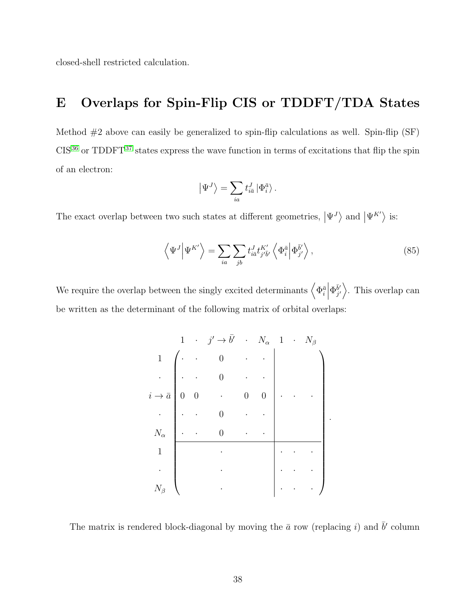closed-shell restricted calculation.

# <span id="page-37-0"></span>E Overlaps for Spin-Flip CIS or TDDFT/TDA States

Method  $#2$  above can easily be generalized to spin-flip calculations as well. Spin-flip (SF)  $CIS<sup>36</sup>$  $CIS<sup>36</sup>$  $CIS<sup>36</sup>$  or TDDFT<sup>[37](#page-43-7)</sup> states express the wave function in terms of excitations that flip the spin of an electron:

$$
\left|\Psi^{J}\right\rangle =\sum_{ia}t_{i\bar{a}}^{J}\left|\Phi_{i}^{\bar{a}}\right\rangle .
$$

The exact overlap between two such states at different geometries,  $|\Psi^{J}\rangle$  and  $|\Psi^{K'}\rangle$  is:

<span id="page-37-1"></span>
$$
\left\langle \Psi^{J} \middle| \Psi^{K'} \right\rangle = \sum_{ia} \sum_{jb} t_{i\bar{a}}^{J} t_{j'\bar{b}'}^{K'} \left\langle \Phi_{i}^{\bar{a}} \middle| \Phi_{j'}^{\bar{b}'} \right\rangle, \tag{85}
$$

.

We require the overlap between the singly excited determinants  $\left\langle \Phi^{\bar a}_{i}\right|$  $\Phi_{i'}^{\bar{b}'}$  $\bar{b}'_j$ . This overlap can be written as the determinant of the following matrix of orbital overlaps:

|                 | $\mathbf 1$    |                  | $\cdot$ $j' \rightarrow \bar{b}'$ $\cdot$ $N_{\alpha}$ 1 $\cdot$ $N_{\beta}$ |                  |  |  |
|-----------------|----------------|------------------|------------------------------------------------------------------------------|------------------|--|--|
| $\mathbf{1}$    |                |                  |                                                                              |                  |  |  |
|                 |                |                  |                                                                              |                  |  |  |
| $i \to \bar{a}$ | $\overline{0}$ | $\boldsymbol{0}$ |                                                                              | $\boldsymbol{0}$ |  |  |
|                 |                |                  |                                                                              |                  |  |  |
| $N_\alpha$      |                |                  | 0                                                                            |                  |  |  |
| $\mathbf 1$     |                |                  |                                                                              |                  |  |  |
|                 |                |                  |                                                                              |                  |  |  |
| $N_{\beta}$     |                |                  |                                                                              |                  |  |  |

The matrix is rendered block-diagonal by moving the  $\bar{a}$  row (replacing i) and  $\bar{b}'$  column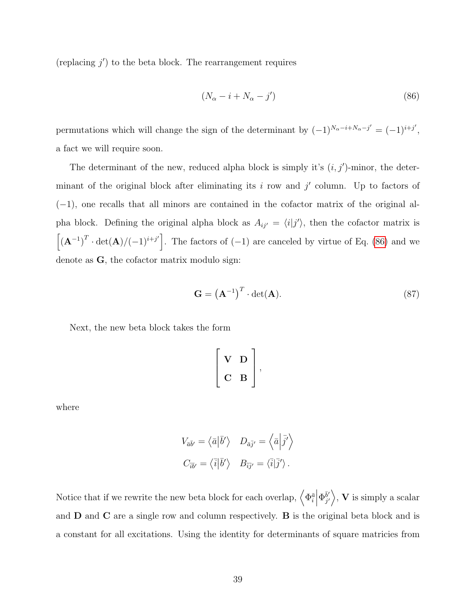(replacing  $j'$ ) to the beta block. The rearrangement requires

<span id="page-38-0"></span>
$$
(N_{\alpha} - i + N_{\alpha} - j') \tag{86}
$$

permutations which will change the sign of the determinant by  $(-1)^{N_{\alpha}-i+N_{\alpha}-j'}=(-1)^{i+j'}$ , a fact we will require soon.

The determinant of the new, reduced alpha block is simply it's  $(i, j')$ -minor, the determinant of the original block after eliminating its  $i$  row and  $j'$  column. Up to factors of  $(-1)$ , one recalls that all minors are contained in the cofactor matrix of the original alpha block. Defining the original alpha block as  $A_{ij'} = \langle i|j' \rangle$ , then the cofactor matrix is  $\left[({\bf A}^{-1})^T \cdot \det({\bf A})/(-1)^{i+j'}\right]$ . The factors of  $(-1)$  are canceled by virtue of Eq. [\(86\)](#page-38-0) and we denote as G, the cofactor matrix modulo sign:

<span id="page-38-1"></span>
$$
\mathbf{G} = \left(\mathbf{A}^{-1}\right)^{T} \cdot \det(\mathbf{A}).\tag{87}
$$

Next, the new beta block takes the form

$$
\left[\begin{array}{cc} V & D \\ C & B \end{array}\right],
$$

where

$$
V_{\bar{a}\bar{b}'} = \langle \bar{a} | \bar{b}' \rangle \quad D_{\bar{a}\bar{j}'} = \langle \bar{a} | \bar{j}' \rangle
$$
  

$$
C_{\bar{i}\bar{b}'} = \langle \bar{i} | \bar{b}' \rangle \quad B_{\bar{i}\bar{j}'} = \langle \bar{i} | \bar{j}' \rangle.
$$

Notice that if we rewrite the new beta block for each overlap,  $\left\langle \Phi^{\bar a}_{i}\right|$  $\Phi_{i'}^{\bar{b}'}$  $\langle \bar{\psi}'_j \rangle$ , **V** is simply a scalar and D and C are a single row and column respectively. B is the original beta block and is a constant for all excitations. Using the identity for determinants of square matricies from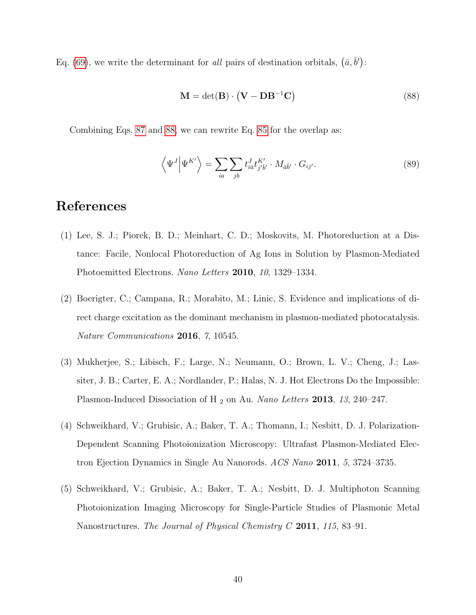Eq. [\(69\)](#page-34-0), we write the determinant for all pairs of destination orbitals,  $(\bar{a}, \bar{b}')$ :

<span id="page-39-3"></span>
$$
\mathbf{M} = \det(\mathbf{B}) \cdot (\mathbf{V} - \mathbf{D} \mathbf{B}^{-1} \mathbf{C}) \tag{88}
$$

Combining Eqs. [87](#page-38-1) and [88,](#page-39-3) we can rewrite Eq. [85](#page-37-1) for the overlap as:

$$
\left\langle \Psi^{J} \middle| \Psi^{K'} \right\rangle = \sum_{ia} \sum_{jb} t_{i\bar{a}}^{J} t_{j\bar{b}'}^{K'} \cdot M_{\bar{a}\bar{b}'} \cdot G_{ij'}.
$$
\n(89)

# References

- <span id="page-39-0"></span>(1) Lee, S. J.; Piorek, B. D.; Meinhart, C. D.; Moskovits, M. Photoreduction at a Distance: Facile, Nonlocal Photoreduction of Ag Ions in Solution by Plasmon-Mediated Photoemitted Electrons. Nano Letters 2010, 10, 1329–1334.
- (2) Boerigter, C.; Campana, R.; Morabito, M.; Linic, S. Evidence and implications of direct charge excitation as the dominant mechanism in plasmon-mediated photocatalysis. Nature Communications 2016, 7, 10545.
- <span id="page-39-1"></span>(3) Mukherjee, S.; Libisch, F.; Large, N.; Neumann, O.; Brown, L. V.; Cheng, J.; Lassiter, J. B.; Carter, E. A.; Nordlander, P.; Halas, N. J. Hot Electrons Do the Impossible: Plasmon-Induced Dissociation of H<sub>2</sub> on Au. Nano Letters 2013, 13, 240–247.
- <span id="page-39-2"></span>(4) Schweikhard, V.; Grubisic, A.; Baker, T. A.; Thomann, I.; Nesbitt, D. J. Polarization-Dependent Scanning Photoionization Microscopy: Ultrafast Plasmon-Mediated Electron Ejection Dynamics in Single Au Nanorods. ACS Nano 2011, 5, 3724–3735.
- (5) Schweikhard, V.; Grubisic, A.; Baker, T. A.; Nesbitt, D. J. Multiphoton Scanning Photoionization Imaging Microscopy for Single-Particle Studies of Plasmonic Metal Nanostructures. The Journal of Physical Chemistry C 2011, 115, 83–91.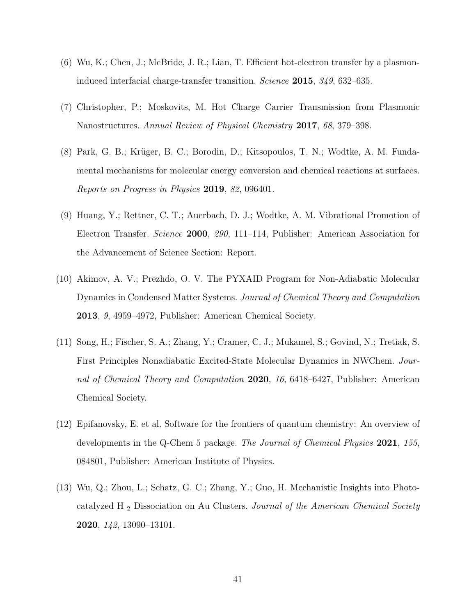- (6) Wu, K.; Chen, J.; McBride, J. R.; Lian, T. Efficient hot-electron transfer by a plasmoninduced interfacial charge-transfer transition. Science 2015, 349, 632–635.
- <span id="page-40-0"></span>(7) Christopher, P.; Moskovits, M. Hot Charge Carrier Transmission from Plasmonic Nanostructures. Annual Review of Physical Chemistry 2017, 68, 379–398.
- <span id="page-40-1"></span>(8) Park, G. B.; Krüger, B. C.; Borodin, D.; Kitsopoulos, T. N.; Wodtke, A. M. Fundamental mechanisms for molecular energy conversion and chemical reactions at surfaces. Reports on Progress in Physics 2019, 82, 096401.
- <span id="page-40-2"></span>(9) Huang, Y.; Rettner, C. T.; Auerbach, D. J.; Wodtke, A. M. Vibrational Promotion of Electron Transfer. Science 2000, 290, 111–114, Publisher: American Association for the Advancement of Science Section: Report.
- <span id="page-40-3"></span>(10) Akimov, A. V.; Prezhdo, O. V. The PYXAID Program for Non-Adiabatic Molecular Dynamics in Condensed Matter Systems. Journal of Chemical Theory and Computation 2013, 9, 4959–4972, Publisher: American Chemical Society.
- (11) Song, H.; Fischer, S. A.; Zhang, Y.; Cramer, C. J.; Mukamel, S.; Govind, N.; Tretiak, S. First Principles Nonadiabatic Excited-State Molecular Dynamics in NWChem. Journal of Chemical Theory and Computation 2020, 16, 6418–6427, Publisher: American Chemical Society.
- <span id="page-40-5"></span>(12) Epifanovsky, E. et al. Software for the frontiers of quantum chemistry: An overview of developments in the Q-Chem 5 package. The Journal of Chemical Physics 2021, 155, 084801, Publisher: American Institute of Physics.
- <span id="page-40-4"></span>(13) Wu, Q.; Zhou, L.; Schatz, G. C.; Zhang, Y.; Guo, H. Mechanistic Insights into Photocatalyzed H <sup>2</sup> Dissociation on Au Clusters. Journal of the American Chemical Society 2020, 142, 13090–13101.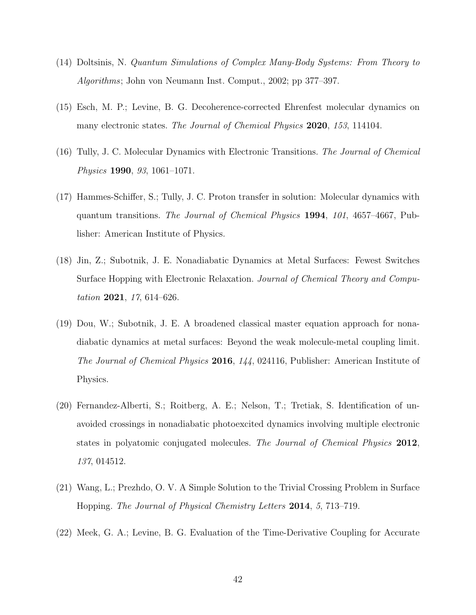- <span id="page-41-0"></span>(14) Doltsinis, N. Quantum Simulations of Complex Many-Body Systems: From Theory to Algorithms; John von Neumann Inst. Comput., 2002; pp 377–397.
- <span id="page-41-1"></span>(15) Esch, M. P.; Levine, B. G. Decoherence-corrected Ehrenfest molecular dynamics on many electronic states. The Journal of Chemical Physics 2020, 153, 114104.
- <span id="page-41-2"></span>(16) Tully, J. C. Molecular Dynamics with Electronic Transitions. The Journal of Chemical Physics 1990, 93, 1061–1071.
- <span id="page-41-3"></span>(17) Hammes-Schiffer, S.; Tully, J. C. Proton transfer in solution: Molecular dynamics with quantum transitions. The Journal of Chemical Physics 1994, 101, 4657–4667, Publisher: American Institute of Physics.
- <span id="page-41-4"></span>(18) Jin, Z.; Subotnik, J. E. Nonadiabatic Dynamics at Metal Surfaces: Fewest Switches Surface Hopping with Electronic Relaxation. Journal of Chemical Theory and Computation 2021,  $17,614-626$ .
- <span id="page-41-5"></span>(19) Dou, W.; Subotnik, J. E. A broadened classical master equation approach for nonadiabatic dynamics at metal surfaces: Beyond the weak molecule-metal coupling limit. The Journal of Chemical Physics 2016, 144, 024116, Publisher: American Institute of Physics.
- <span id="page-41-6"></span>(20) Fernandez-Alberti, S.; Roitberg, A. E.; Nelson, T.; Tretiak, S. Identification of unavoided crossings in nonadiabatic photoexcited dynamics involving multiple electronic states in polyatomic conjugated molecules. The Journal of Chemical Physics 2012, 137, 014512.
- <span id="page-41-7"></span>(21) Wang, L.; Prezhdo, O. V. A Simple Solution to the Trivial Crossing Problem in Surface Hopping. The Journal of Physical Chemistry Letters 2014, 5, 713–719.
- <span id="page-41-8"></span>(22) Meek, G. A.; Levine, B. G. Evaluation of the Time-Derivative Coupling for Accurate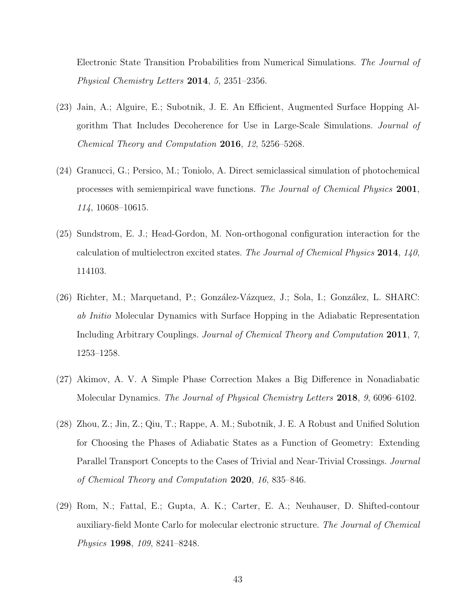Electronic State Transition Probabilities from Numerical Simulations. The Journal of Physical Chemistry Letters 2014, 5, 2351–2356.

- <span id="page-42-0"></span>(23) Jain, A.; Alguire, E.; Subotnik, J. E. An Efficient, Augmented Surface Hopping Algorithm That Includes Decoherence for Use in Large-Scale Simulations. Journal of Chemical Theory and Computation 2016, 12, 5256–5268.
- <span id="page-42-1"></span>(24) Granucci, G.; Persico, M.; Toniolo, A. Direct semiclassical simulation of photochemical processes with semiempirical wave functions. The Journal of Chemical Physics 2001, 114, 10608–10615.
- <span id="page-42-2"></span>(25) Sundstrom, E. J.; Head-Gordon, M. Non-orthogonal configuration interaction for the calculation of multielectron excited states. The Journal of Chemical Physics 2014,  $140$ , 114103.
- <span id="page-42-3"></span>(26) Richter, M.; Marquetand, P.; González-Vázquez, J.; Sola, I.; González, L. SHARC: ab Initio Molecular Dynamics with Surface Hopping in the Adiabatic Representation Including Arbitrary Couplings. Journal of Chemical Theory and Computation 2011, 7, 1253–1258.
- <span id="page-42-4"></span>(27) Akimov, A. V. A Simple Phase Correction Makes a Big Difference in Nonadiabatic Molecular Dynamics. The Journal of Physical Chemistry Letters 2018, 9, 6096–6102.
- <span id="page-42-5"></span>(28) Zhou, Z.; Jin, Z.; Qiu, T.; Rappe, A. M.; Subotnik, J. E. A Robust and Unified Solution for Choosing the Phases of Adiabatic States as a Function of Geometry: Extending Parallel Transport Concepts to the Cases of Trivial and Near-Trivial Crossings. Journal of Chemical Theory and Computation 2020, 16, 835–846.
- <span id="page-42-6"></span>(29) Rom, N.; Fattal, E.; Gupta, A. K.; Carter, E. A.; Neuhauser, D. Shifted-contour auxiliary-field Monte Carlo for molecular electronic structure. The Journal of Chemical Physics 1998, 109, 8241–8248.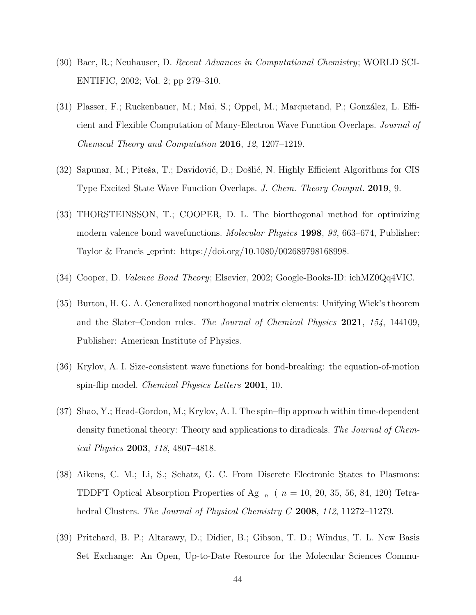- <span id="page-43-0"></span>(30) Baer, R.; Neuhauser, D. Recent Advances in Computational Chemistry; WORLD SCI-ENTIFIC, 2002; Vol. 2; pp 279–310.
- <span id="page-43-1"></span>(31) Plasser, F.; Ruckenbauer, M.; Mai, S.; Oppel, M.; Marquetand, P.; González, L. Efficient and Flexible Computation of Many-Electron Wave Function Overlaps. Journal of Chemical Theory and Computation 2016, 12, 1207–1219.
- <span id="page-43-2"></span>(32) Sapunar, M.; Piteša, T.; Davidović, D.; Došlić, N. Highly Efficient Algorithms for CIS Type Excited State Wave Function Overlaps. J. Chem. Theory Comput. 2019, 9.
- <span id="page-43-3"></span>(33) THORSTEINSSON, T.; COOPER, D. L. The biorthogonal method for optimizing modern valence bond wavefunctions. Molecular Physics 1998, 93, 663–674, Publisher: Taylor & Francis eprint: https://doi.org/10.1080/002689798168998.
- <span id="page-43-4"></span>(34) Cooper, D. Valence Bond Theory; Elsevier, 2002; Google-Books-ID: ichMZ0Qq4VIC.
- <span id="page-43-5"></span>(35) Burton, H. G. A. Generalized nonorthogonal matrix elements: Unifying Wick's theorem and the Slater–Condon rules. The Journal of Chemical Physics 2021, 154, 144109, Publisher: American Institute of Physics.
- <span id="page-43-6"></span>(36) Krylov, A. I. Size-consistent wave functions for bond-breaking: the equation-of-motion spin-flip model. *Chemical Physics Letters* 2001, 10.
- <span id="page-43-7"></span>(37) Shao, Y.; Head-Gordon, M.; Krylov, A. I. The spin–flip approach within time-dependent density functional theory: Theory and applications to diradicals. The Journal of Chemical Physics 2003, 118, 4807–4818.
- <span id="page-43-8"></span>(38) Aikens, C. M.; Li, S.; Schatz, G. C. From Discrete Electronic States to Plasmons: TDDFT Optical Absorption Properties of Ag  $_n$  (  $n = 10, 20, 35, 56, 84, 120$ ) Tetrahedral Clusters. The Journal of Physical Chemistry C 2008, 112, 11272–11279.
- <span id="page-43-9"></span>(39) Pritchard, B. P.; Altarawy, D.; Didier, B.; Gibson, T. D.; Windus, T. L. New Basis Set Exchange: An Open, Up-to-Date Resource for the Molecular Sciences Commu-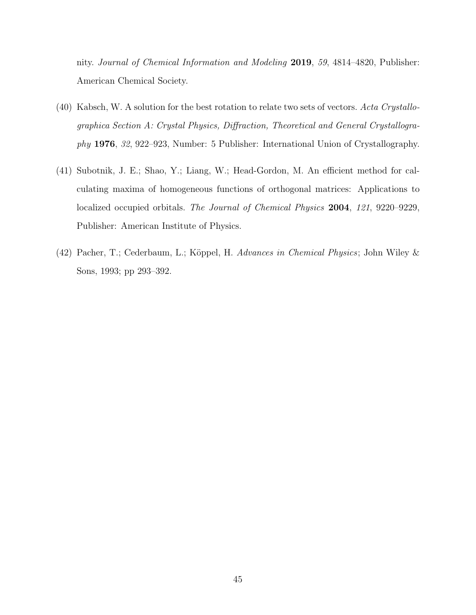nity. Journal of Chemical Information and Modeling 2019, 59, 4814–4820, Publisher: American Chemical Society.

- <span id="page-44-0"></span>(40) Kabsch, W. A solution for the best rotation to relate two sets of vectors. Acta Crystallographica Section A: Crystal Physics, Diffraction, Theoretical and General Crystallography 1976, 32, 922–923, Number: 5 Publisher: International Union of Crystallography.
- (41) Subotnik, J. E.; Shao, Y.; Liang, W.; Head-Gordon, M. An efficient method for calculating maxima of homogeneous functions of orthogonal matrices: Applications to localized occupied orbitals. The Journal of Chemical Physics 2004, 121, 9220–9229, Publisher: American Institute of Physics.
- <span id="page-44-1"></span>(42) Pacher, T.; Cederbaum, L.; Köppel, H. Advances in Chemical Physics; John Wiley & Sons, 1993; pp 293–392.